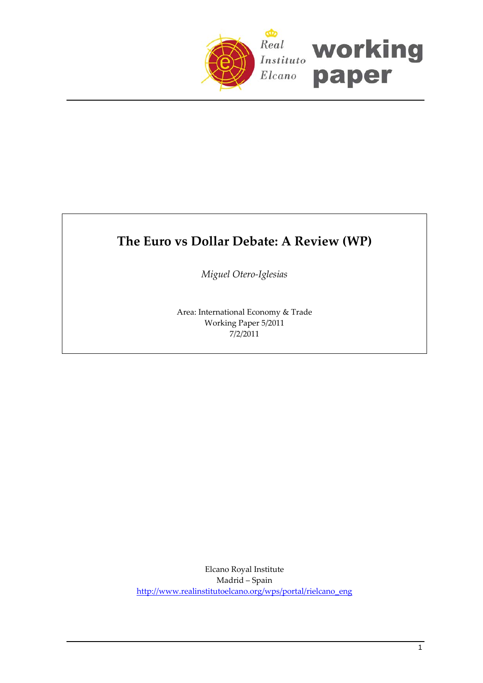

# **The Euro vs Dollar Debate: A Review (WP)**

*Miguel Otero‐Iglesias*

Area: International Economy & Trade Working Paper 5/2011 7/2/2011

Elcano Royal Institute Madrid – Spain [http://www.realinstitutoelcano.org/wps/portal/rielcano\\_eng](http://www.realinstitutoelcano.org/wps/portal/rielcano_eng)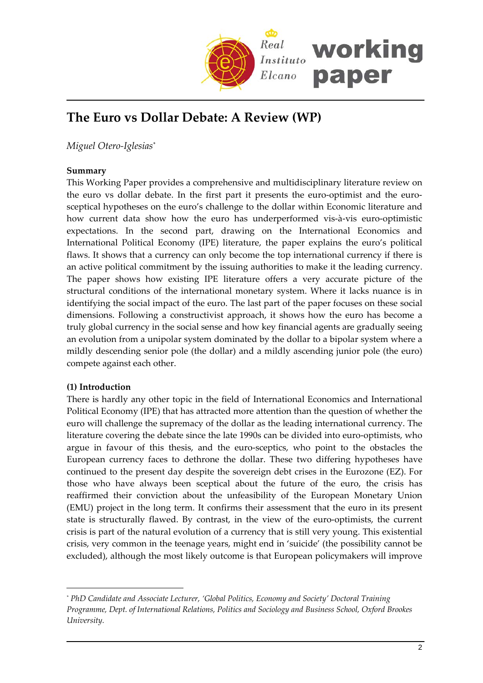

## **The Euro vs Dollar Debate: A Review (WP)**

*Miguel Otero‐Iglesias*[\\*](#page-1-0)

## **Summary**

This Working Paper provides a comprehensive and multidisciplinary literature review on the euro vs dollar debate. In the first part it presents the euro-optimist and the eurosceptical hypotheses on the euro's challenge to the dollar within Economic literature and how current data show how the euro has underperformed vis-à-vis euro-optimistic expectations. In the second part, drawing on the International Economics and International Political Economy (IPE) literature, the paper explains the euro's political flaws. It shows that a currency can only become the top international currency if there is an active political commitment by the issuing authorities to make it the leading currency. The paper shows how existing IPE literature offers a very accurate picture of the structural conditions of the international monetary system. Where it lacks nuance is in identifying the social impact of the euro. The last part of the paper focuses on these social dimensions. Following a constructivist approach, it shows how the euro has become a truly global currency in the social sense and how key financial agents are gradually seeing an evolution from a unipolar system dominated by the dollar to a bipolar system where a mildly descending senior pole (the dollar) and a mildly ascending junior pole (the euro) compete against each other.

## **(1) Introduction**

 $\overline{a}$ 

There is hardly any other topic in the field of International Economics and International Political Economy (IPE) that has attracted more attention than the question of whether the euro will challenge the supremacy of the dollar as the leading international currency. The literature covering the debate since the late 1990s can be divided into euro‐optimists, who argue in favour of this thesis, and the euro‐sceptics, who point to the obstacles the European currency faces to dethrone the dollar. These two differing hypotheses have continued to the present day despite the sovereign debt crises in the Eurozone (EZ). For those who have always been sceptical about the future of the euro, the crisis has reaffirmed their conviction about the unfeasibility of the European Monetary Union (EMU) project in the long term. It confirms their assessment that the euro in its present state is structurally flawed. By contrast, in the view of the euro‐optimists, the current crisis is part of the natural evolution of a currency that is still very young. This existential crisis, very common in the teenage years, might end in 'suicide' (the possibility cannot be excluded), although the most likely outcome is that European policymakers will improve

<span id="page-1-0"></span>*<sup>\*</sup> PhD Candidate and Associate Lecturer, 'Global Politics, Economy and Society' Doctoral Training Programme, Dept. of International Relations, Politics and Sociology and Business School, Oxford Brookes University.*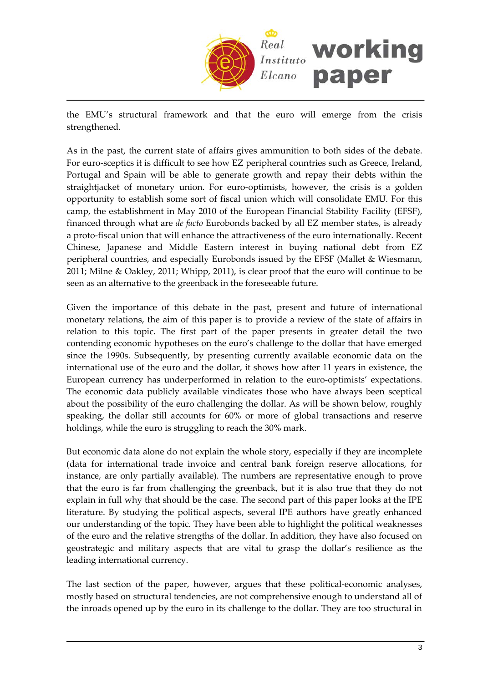

the EMU's structural framework and that the euro will emerge from the crisis strengthened.

As in the past, the current state of affairs gives ammunition to both sides of the debate. For euro‐sceptics it is difficult to see how EZ peripheral countries such as Greece, Ireland, Portugal and Spain will be able to generate growth and repay their debts within the straightjacket of monetary union. For euro-optimists, however, the crisis is a golden opportunity to establish some sort of fiscal union which will consolidate EMU. For this camp, the establishment in May 2010 of the European Financial Stability Facility (EFSF), financed through what are *de facto* Eurobonds backed by all EZ member states, is already a proto‐fiscal union that will enhance the attractiveness of the euro internationally. Recent Chinese, Japanese and Middle Eastern interest in buying national debt from EZ peripheral countries, and especially Eurobonds issued by the EFSF (Mallet & Wiesmann, 2011; Milne & Oakley, 2011; Whipp, 2011), is clear proof that the euro will continue to be seen as an alternative to the greenback in the foreseeable future.

Given the importance of this debate in the past, present and future of international monetary relations, the aim of this paper is to provide a review of the state of affairs in relation to this topic. The first part of the paper presents in greater detail the two contending economic hypotheses on the euro's challenge to the dollar that have emerged since the 1990s. Subsequently, by presenting currently available economic data on the international use of the euro and the dollar, it shows how after 11 years in existence, the European currency has underperformed in relation to the euro-optimists' expectations. The economic data publicly available vindicates those who have always been sceptical about the possibility of the euro challenging the dollar. As will be shown below, roughly speaking, the dollar still accounts for 60% or more of global transactions and reserve holdings, while the euro is struggling to reach the 30% mark.

But economic data alone do not explain the whole story, especially if they are incomplete (data for international trade invoice and central bank foreign reserve allocations, for instance, are only partially available). The numbers are representative enough to prove that the euro is far from challenging the greenback, but it is also true that they do not explain in full why that should be the case. The second part of this paper looks at the IPE literature. By studying the political aspects, several IPE authors have greatly enhanced our understanding of the topic. They have been able to highlight the political weaknesses of the euro and the relative strengths of the dollar. In addition, they have also focused on geostrategic and military aspects that are vital to grasp the dollar's resilience as the leading international currency.

The last section of the paper, however, argues that these political-economic analyses, mostly based on structural tendencies, are not comprehensive enough to understand all of the inroads opened up by the euro in its challenge to the dollar. They are too structural in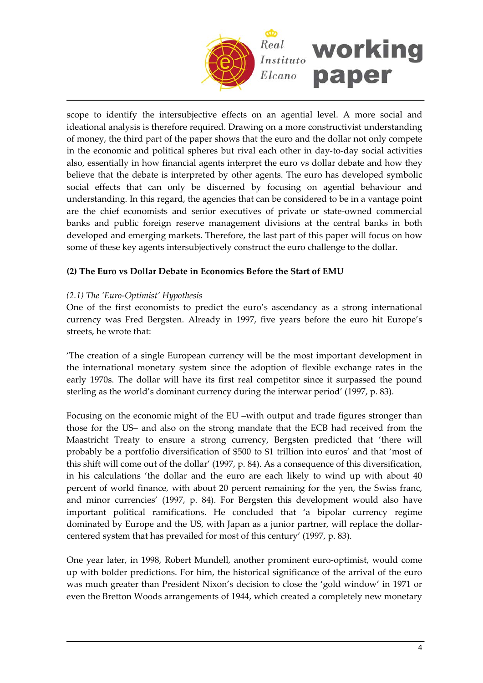

scope to identify the intersubjective effects on an agential level. A more social and ideational analysis is therefore required. Drawing on a more constructivist understanding of money, the third part of the paper shows that the euro and the dollar not only compete in the economic and political spheres but rival each other in day-to-day social activities also, essentially in how financial agents interpret the euro vs dollar debate and how they believe that the debate is interpreted by other agents. The euro has developed symbolic social effects that can only be discerned by focusing on agential behaviour and understanding. In this regard, the agencies that can be considered to be in a vantage point are the chief economists and senior executives of private or state‐owned commercial banks and public foreign reserve management divisions at the central banks in both developed and emerging markets. Therefore, the last part of this paper will focus on how some of these key agents intersubjectively construct the euro challenge to the dollar.

## **(2) The Euro vs Dollar Debate in Economics Before the Start of EMU**

## *(2.1) The 'Euro‐Optimist' Hypothesis*

One of the first economists to predict the euro's ascendancy as a strong international currency was Fred Bergsten. Already in 1997, five years before the euro hit Europe's streets, he wrote that:

'The creation of a single European currency will be the most important development in the international monetary system since the adoption of flexible exchange rates in the early 1970s. The dollar will have its first real competitor since it surpassed the pound sterling as the world's dominant currency during the interwar period' (1997, p. 83).

Focusing on the economic might of the EU –with output and trade figures stronger than those for the US– and also on the strong mandate that the ECB had received from the Maastricht Treaty to ensure a strong currency, Bergsten predicted that 'there will probably be a portfolio diversification of \$500 to \$1 trillion into euros' and that 'most of this shift will come out of the dollar' (1997, p. 84). As a consequence of this diversification, in his calculations 'the dollar and the euro are each likely to wind up with about 40 percent of world finance, with about 20 percent remaining for the yen, the Swiss franc, and minor currencies' (1997, p. 84). For Bergsten this development would also have important political ramifications. He concluded that 'a bipolar currency regime dominated by Europe and the US, with Japan as a junior partner, will replace the dollar‐ centered system that has prevailed for most of this century' (1997, p. 83).

One year later, in 1998, Robert Mundell, another prominent euro‐optimist, would come up with bolder predictions. For him, the historical significance of the arrival of the euro was much greater than President Nixon's decision to close the 'gold window' in 1971 or even the Bretton Woods arrangements of 1944, which created a completely new monetary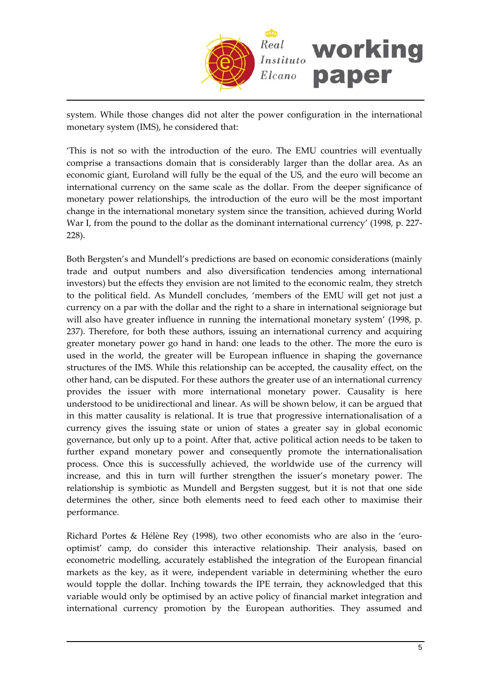

system. While those changes did not alter the power configuration in the international monetary system (IMS), he considered that:

'This is not so with the introduction of the euro. The EMU countries will eventually comprise a transactions domain that is considerably larger than the dollar area. As an economic giant, Euroland will fully be the equal of the US, and the euro will become an international currency on the same scale as the dollar. From the deeper significance of monetary power relationships, the introduction of the euro will be the most important change in the international monetary system since the transition, achieved during World War I, from the pound to the dollar as the dominant international currency' (1998, p. 227– 228).

Both Bergsten's and Mundell's predictions are based on economic considerations (mainly trade and output numbers and also diversification tendencies among international investors) but the effects they envision are not limited to the economic realm, they stretch to the political field. As Mundell concludes, 'members of the EMU will get not just a currency on a par with the dollar and the right to a share in international seigniorage but will also have greater influence in running the international monetary system' (1998, p. 237). Therefore, for both these authors, issuing an international currency and acquiring greater monetary power go hand in hand: one leads to the other. The more the euro is used in the world, the greater will be European influence in shaping the governance structures of the IMS. While this relationship can be accepted, the causality effect, on the other hand, can be disputed. For these authors the greater use of an international currency provides the issuer with more international monetary power. Causality is here understood to be unidirectional and linear. As will be shown below, it can be argued that in this matter causality is relational. It is true that progressive internationalisation of a currency gives the issuing state or union of states a greater say in global economic governance, but only up to a point. After that, active political action needs to be taken to further expand monetary power and consequently promote the internationalisation process. Once this is successfully achieved, the worldwide use of the currency will increase, and this in turn will further strengthen the issuer's monetary power. The relationship is symbiotic as Mundell and Bergsten suggest, but it is not that one side determines the other, since both elements need to feed each other to maximise their performance.

Richard Portes & Hélène Rey (1998), two other economists who are also in the 'euro‐ optimist' camp, do consider this interactive relationship. Their analysis, based on econometric modelling, accurately established the integration of the European financial markets as the key, as it were, independent variable in determining whether the euro would topple the dollar. Inching towards the IPE terrain, they acknowledged that this variable would only be optimised by an active policy of financial market integration and international currency promotion by the European authorities. They assumed and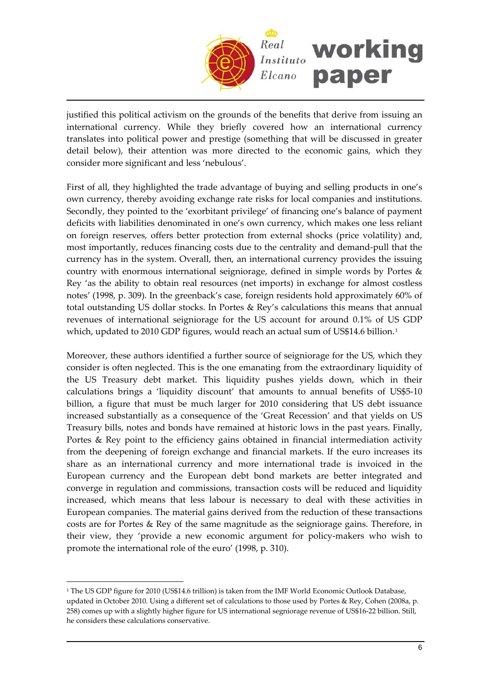

justified this political activism on the grounds of the benefits that derive from issuing an international currency. While they briefly covered how an international currency translates into political power and prestige (something that will be discussed in greater detail below), their attention was more directed to the economic gains, which they consider more significant and less 'nebulous'.

First of all, they highlighted the trade advantage of buying and selling products in one's own currency, thereby avoiding exchange rate risks for local companies and institutions. Secondly, they pointed to the 'exorbitant privilege' of financing one's balance of payment deficits with liabilities denominated in one's own currency, which makes one less reliant on foreign reserves, offers better protection from external shocks (price volatility) and, most importantly, reduces financing costs due to the centrality and demand‐pull that the currency has in the system. Overall, then, an international currency provides the issuing country with enormous international seigniorage, defined in simple words by Portes & Rey 'as the ability to obtain real resources (net imports) in exchange for almost costless notes' (1998, p. 309). In the greenback's case, foreign residents hold approximately 60% of total outstanding US dollar stocks. In Portes & Rey's calculations this means that annual revenues of international seigniorage for the US account for around 0.1% of US GDP which, updated to 20[1](#page-5-0)0 GDP figures, would reach an actual sum of US\$14.6 billion.<sup>1</sup>

Moreover, these authors identified a further source of seigniorage for the US, which they consider is often neglected. This is the one emanating from the extraordinary liquidity of the US Treasury debt market. This liquidity pushes yields down, which in their calculations brings a 'liquidity discount' that amounts to annual benefits of US\$5‐10 billion, a figure that must be much larger for 2010 considering that US debt issuance increased substantially as a consequence of the 'Great Recession' and that yields on US Treasury bills, notes and bonds have remained at historic lows in the past years. Finally, Portes & Rey point to the efficiency gains obtained in financial intermediation activity from the deepening of foreign exchange and financial markets. If the euro increases its share as an international currency and more international trade is invoiced in the European currency and the European debt bond markets are better integrated and converge in regulation and commissions, transaction costs will be reduced and liquidity increased, which means that less labour is necessary to deal with these activities in European companies. The material gains derived from the reduction of these transactions costs are for Portes & Rey of the same magnitude as the seigniorage gains. Therefore, in their view, they 'provide a new economic argument for policy‐makers who wish to promote the international role of the euro' (1998, p. 310).

<span id="page-5-0"></span><sup>1</sup> The US GDP figure for 2010 (US\$14.6 trillion) is taken from the IMF World Economic Outlook Database, updated in October 2010. Using a different set of calculations to those used by Portes & Rey, Cohen (2008a, p. 258) comes up with a slightly higher figure for US international segniorage revenue of US\$16‐22 billion. Still, he considers these calculations conservative.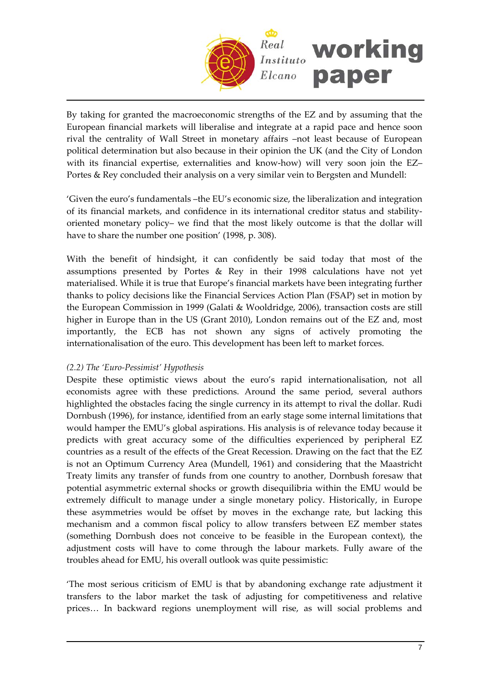

By taking for granted the macroeconomic strengths of the EZ and by assuming that the European financial markets will liberalise and integrate at a rapid pace and hence soon rival the centrality of Wall Street in monetary affairs –not least because of European political determination but also because in their opinion the UK (and the City of London with its financial expertise, externalities and know-how) will very soon join the EZ– Portes & Rey concluded their analysis on a very similar vein to Bergsten and Mundell:

'Given the euro's fundamentals –the EU's economic size, the liberalization and integration of its financial markets, and confidence in its international creditor status and stability‐ oriented monetary policy– we find that the most likely outcome is that the dollar will have to share the number one position' (1998, p. 308).

With the benefit of hindsight, it can confidently be said today that most of the assumptions presented by Portes & Rey in their 1998 calculations have not yet materialised. While it is true that Europe's financial markets have been integrating further thanks to policy decisions like the Financial Services Action Plan (FSAP) set in motion by the European Commission in 1999 (Galati & Wooldridge, 2006), transaction costs are still higher in Europe than in the US (Grant 2010), London remains out of the EZ and, most importantly, the ECB has not shown any signs of actively promoting the internationalisation of the euro. This development has been left to market forces.

## *(2.2) The 'Euro‐Pessimist' Hypothesis*

Despite these optimistic views about the euro's rapid internationalisation, not all economists agree with these predictions. Around the same period, several authors highlighted the obstacles facing the single currency in its attempt to rival the dollar. Rudi Dornbush (1996), for instance, identified from an early stage some internal limitations that would hamper the EMU's global aspirations. His analysis is of relevance today because it predicts with great accuracy some of the difficulties experienced by peripheral EZ countries as a result of the effects of the Great Recession. Drawing on the fact that the EZ is not an Optimum Currency Area (Mundell, 1961) and considering that the Maastricht Treaty limits any transfer of funds from one country to another, Dornbush foresaw that potential asymmetric external shocks or growth disequilibria within the EMU would be extremely difficult to manage under a single monetary policy. Historically, in Europe these asymmetries would be offset by moves in the exchange rate, but lacking this mechanism and a common fiscal policy to allow transfers between EZ member states (something Dornbush does not conceive to be feasible in the European context), the adjustment costs will have to come through the labour markets. Fully aware of the troubles ahead for EMU, his overall outlook was quite pessimistic:

'The most serious criticism of EMU is that by abandoning exchange rate adjustment it transfers to the labor market the task of adjusting for competitiveness and relative prices… In backward regions unemployment will rise, as will social problems and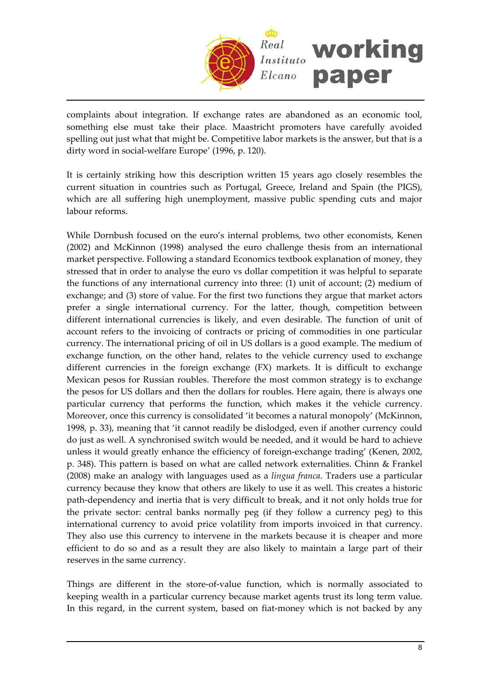

complaints about integration. If exchange rates are abandoned as an economic tool, something else must take their place. Maastricht promoters have carefully avoided spelling out just what that might be. Competitive labor markets is the answer, but that is a dirty word in social‐welfare Europe' (1996, p. 120).

It is certainly striking how this description written 15 years ago closely resembles the current situation in countries such as Portugal, Greece, Ireland and Spain (the PIGS), which are all suffering high unemployment, massive public spending cuts and major labour reforms.

While Dornbush focused on the euro's internal problems, two other economists, Kenen (2002) and McKinnon (1998) analysed the euro challenge thesis from an international market perspective. Following a standard Economics textbook explanation of money, they stressed that in order to analyse the euro vs dollar competition it was helpful to separate the functions of any international currency into three: (1) unit of account; (2) medium of exchange; and (3) store of value. For the first two functions they argue that market actors prefer a single international currency. For the latter, though, competition between different international currencies is likely, and even desirable. The function of unit of account refers to the invoicing of contracts or pricing of commodities in one particular currency. The international pricing of oil in US dollars is a good example. The medium of exchange function, on the other hand, relates to the vehicle currency used to exchange different currencies in the foreign exchange (FX) markets. It is difficult to exchange Mexican pesos for Russian roubles. Therefore the most common strategy is to exchange the pesos for US dollars and then the dollars for roubles. Here again, there is always one particular currency that performs the function, which makes it the vehicle currency. Moreover, once this currency is consolidated 'it becomes a natural monopoly' (McKinnon, 1998, p. 33), meaning that 'it cannot readily be dislodged, even if another currency could do just as well. A synchronised switch would be needed, and it would be hard to achieve unless it would greatly enhance the efficiency of foreign-exchange trading' (Kenen, 2002, p. 348). This pattern is based on what are called network externalities. Chinn & Frankel (2008) make an analogy with languages used as a *lingua franca*. Traders use a particular currency because they know that others are likely to use it as well. This creates a historic path‐dependency and inertia that is very difficult to break, and it not only holds true for the private sector: central banks normally peg (if they follow a currency peg) to this international currency to avoid price volatility from imports invoiced in that currency. They also use this currency to intervene in the markets because it is cheaper and more efficient to do so and as a result they are also likely to maintain a large part of their reserves in the same currency.

Things are different in the store‐of‐value function, which is normally associated to keeping wealth in a particular currency because market agents trust its long term value. In this regard, in the current system, based on fiat-money which is not backed by any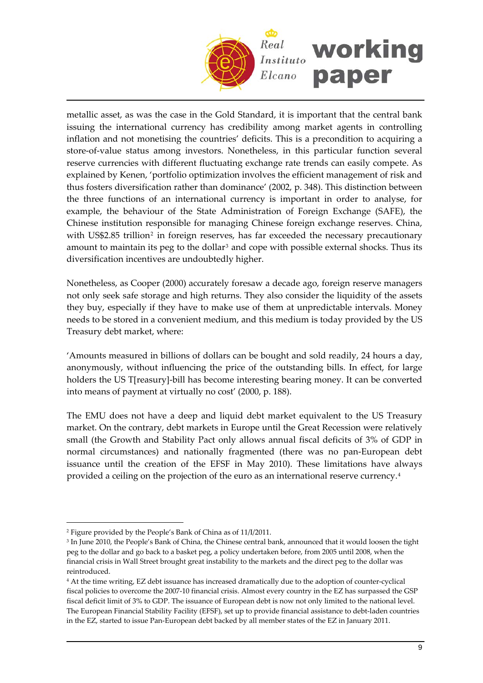

metallic asset, as was the case in the Gold Standard, it is important that the central bank issuing the international currency has credibility among market agents in controlling inflation and not monetising the countries' deficits. This is a precondition to acquiring a store‐of‐value status among investors. Nonetheless, in this particular function several reserve currencies with different fluctuating exchange rate trends can easily compete. As explained by Kenen, 'portfolio optimization involves the efficient management of risk and thus fosters diversification rather than dominance' (2002, p. 348). This distinction between the three functions of an international currency is important in order to analyse, for example, the behaviour of the State Administration of Foreign Exchange (SAFE), the Chinese institution responsible for managing Chinese foreign exchange reserves. China, with US\$[2](#page-8-0).85 trillion<sup>2</sup> in foreign reserves, has far exceeded the necessary precautionary amount to maintain its peg to the dollar<sup>[3](#page-8-1)</sup> and cope with possible external shocks. Thus its diversification incentives are undoubtedly higher.

Nonetheless, as Cooper (2000) accurately foresaw a decade ago, foreign reserve managers not only seek safe storage and high returns. They also consider the liquidity of the assets they buy, especially if they have to make use of them at unpredictable intervals. Money needs to be stored in a convenient medium, and this medium is today provided by the US Treasury debt market, where:

'Amounts measured in billions of dollars can be bought and sold readily, 24 hours a day, anonymously, without influencing the price of the outstanding bills. In effect, for large holders the US T[reasury]-bill has become interesting bearing money. It can be converted into means of payment at virtually no cost' (2000, p. 188).

The EMU does not have a deep and liquid debt market equivalent to the US Treasury market. On the contrary, debt markets in Europe until the Great Recession were relatively small (the Growth and Stability Pact only allows annual fiscal deficits of 3% of GDP in normal circumstances) and nationally fragmented (there was no pan‐European debt issuance until the creation of the EFSF in May 2010). These limitations have always provided a ceiling on the projection of the euro as an international reserve currency.[4](#page-8-2)

<span id="page-8-0"></span><sup>2</sup> Figure provided by the People's Bank of China as of 11/I/2011.

<span id="page-8-1"></span><sup>3</sup> In June 2010, the People's Bank of China, the Chinese central bank, announced that it would loosen the tight peg to the dollar and go back to a basket peg, a policy undertaken before, from 2005 until 2008, when the financial crisis in Wall Street brought great instability to the markets and the direct peg to the dollar was reintroduced.

<span id="page-8-2"></span><sup>4</sup> At the time writing, EZ debt issuance has increased dramatically due to the adoption of counter‐cyclical fiscal policies to overcome the 2007‐10 financial crisis. Almost every country in the EZ has surpassed the GSP fiscal deficit limit of 3% to GDP. The issuance of European debt is now not only limited to the national level. The European Financial Stability Facility (EFSF), set up to provide financial assistance to debt-laden countries in the EZ, started to issue Pan‐European debt backed by all member states of the EZ in January 2011.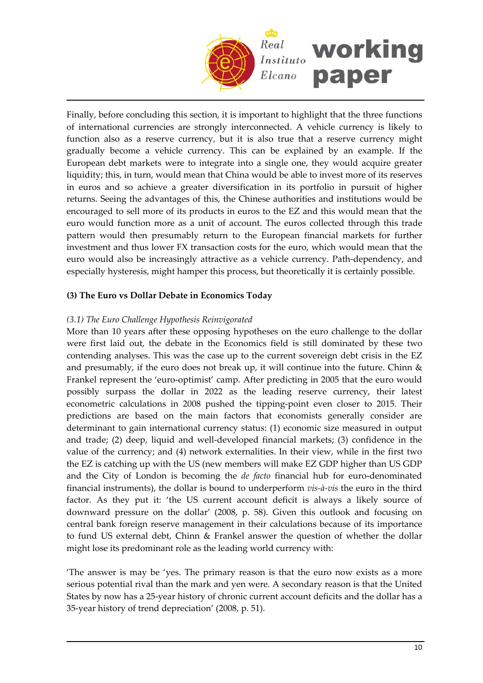

Finally, before concluding this section, it is important to highlight that the three functions of international currencies are strongly interconnected. A vehicle currency is likely to function also as a reserve currency, but it is also true that a reserve currency might gradually become a vehicle currency. This can be explained by an example. If the European debt markets were to integrate into a single one, they would acquire greater liquidity; this, in turn, would mean that China would be able to invest more of its reserves in euros and so achieve a greater diversification in its portfolio in pursuit of higher returns. Seeing the advantages of this, the Chinese authorities and institutions would be encouraged to sell more of its products in euros to the EZ and this would mean that the euro would function more as a unit of account. The euros collected through this trade pattern would then presumably return to the European financial markets for further investment and thus lower FX transaction costs for the euro, which would mean that the euro would also be increasingly attractive as a vehicle currency. Path‐dependency, and especially hysteresis, might hamper this process, but theoretically it is certainly possible.

## **(3) The Euro vs Dollar Debate in Economics Today**

### *(3.1) The Euro Challenge Hypothesis Reinvigorated*

More than 10 years after these opposing hypotheses on the euro challenge to the dollar were first laid out, the debate in the Economics field is still dominated by these two contending analyses. This was the case up to the current sovereign debt crisis in the EZ and presumably, if the euro does not break up, it will continue into the future. Chinn & Frankel represent the 'euro‐optimist' camp. After predicting in 2005 that the euro would possibly surpass the dollar in 2022 as the leading reserve currency, their latest econometric calculations in 2008 pushed the tipping‐point even closer to 2015. Their predictions are based on the main factors that economists generally consider are determinant to gain international currency status: (1) economic size measured in output and trade; (2) deep, liquid and well‐developed financial markets; (3) confidence in the value of the currency; and (4) network externalities. In their view, while in the first two the EZ is catching up with the US (new members will make EZ GDP higher than US GDP and the City of London is becoming the *de facto* financial hub for euro‐denominated financial instruments), the dollar is bound to underperform *vis‐à‐vis* the euro in the third factor. As they put it: 'the US current account deficit is always a likely source of downward pressure on the dollar' (2008, p. 58). Given this outlook and focusing on central bank foreign reserve management in their calculations because of its importance to fund US external debt, Chinn & Frankel answer the question of whether the dollar might lose its predominant role as the leading world currency with:

'The answer is may be 'yes. The primary reason is that the euro now exists as a more serious potential rival than the mark and yen were. A secondary reason is that the United States by now has a 25‐year history of chronic current account deficits and the dollar has a 35‐year history of trend depreciation' (2008, p. 51).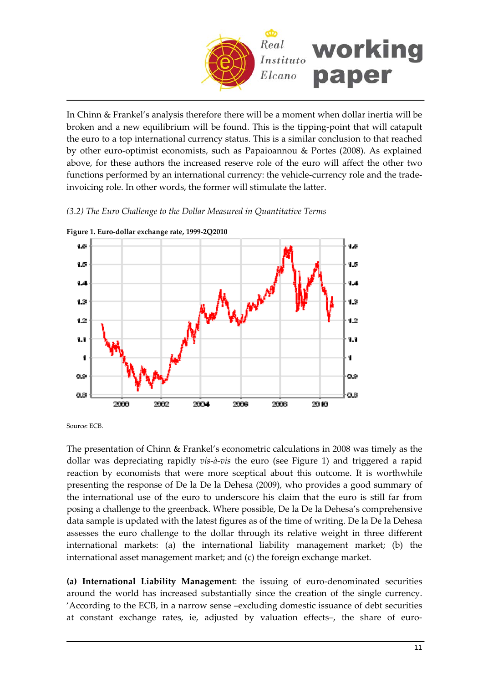

In Chinn & Frankel's analysis therefore there will be a moment when dollar inertia will be broken and a new equilibrium will be found. This is the tipping‐point that will catapult the euro to a top international currency status. This is a similar conclusion to that reached by other euro‐optimist economists, such as Papaioannou & Portes (2008). As explained above, for these authors the increased reserve role of the euro will affect the other two functions performed by an international currency: the vehicle‐currency role and the trade‐ invoicing role. In other words, the former will stimulate the latter.

## *(3.2) The Euro Challenge to the Dollar Measured in Quantitative Terms*



**Figure 1. Euro‐dollar exchange rate, 1999‐2Q2010**

Source: ECB.

The presentation of Chinn & Frankel's econometric calculations in 2008 was timely as the dollar was depreciating rapidly *vis‐à‐vis* the euro (see Figure 1) and triggered a rapid reaction by economists that were more sceptical about this outcome. It is worthwhile presenting the response of De la De la Dehesa (2009), who provides a good summary of the international use of the euro to underscore his claim that the euro is still far from posing a challenge to the greenback. Where possible, De la De la Dehesa's comprehensive data sample is updated with the latest figures as of the time of writing. De la De la Dehesa assesses the euro challenge to the dollar through its relative weight in three different international markets: (a) the international liability management market; (b) the international asset management market; and (c) the foreign exchange market.

**(a) International Liability Management**: the issuing of euro‐denominated securities around the world has increased substantially since the creation of the single currency. 'According to the ECB, in a narrow sense –excluding domestic issuance of debt securities at constant exchange rates, ie, adjusted by valuation effects-, the share of euro-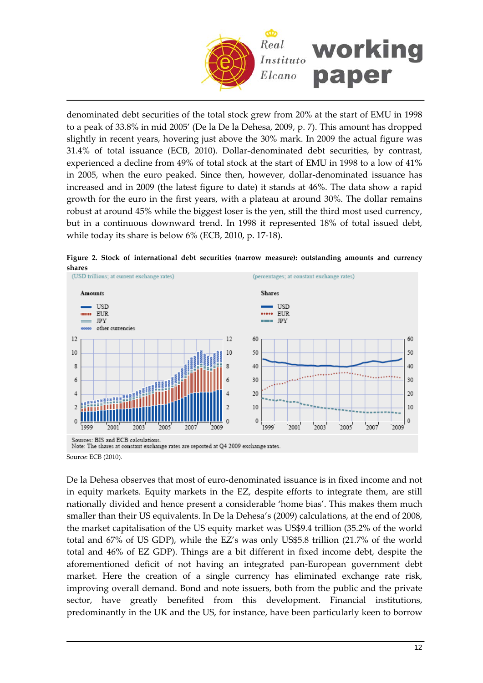

denominated debt securities of the total stock grew from 20% at the start of EMU in 1998 to a peak of 33.8% in mid 2005' (De la De la Dehesa, 2009, p. 7). This amount has dropped slightly in recent years, hovering just above the 30% mark. In 2009 the actual figure was 31.4% of total issuance (ECB, 2010). Dollar‐denominated debt securities, by contrast, experienced a decline from 49% of total stock at the start of EMU in 1998 to a low of 41% in 2005, when the euro peaked. Since then, however, dollar-denominated issuance has increased and in 2009 (the latest figure to date) it stands at 46%. The data show a rapid growth for the euro in the first years, with a plateau at around 30%. The dollar remains robust at around 45% while the biggest loser is the yen, still the third most used currency, but in a continuous downward trend. In 1998 it represented 18% of total issued debt, while today its share is below 6% (ECB, 2010, p. 17‐18).

**Figure 2. Stock of international debt securities (narrow measure): outstanding amounts and currency shares**<br>(USD trillions: at current exchange rates)



Source: ECB (2010).

De la Dehesa observes that most of euro‐denominated issuance is in fixed income and not in equity markets. Equity markets in the EZ, despite efforts to integrate them, are still nationally divided and hence present a considerable 'home bias'. This makes them much smaller than their US equivalents. In De la Dehesa's (2009) calculations, at the end of 2008, the market capitalisation of the US equity market was US\$9.4 trillion (35.2% of the world total and 67% of US GDP), while the EZ's was only US\$5.8 trillion (21.7% of the world total and 46% of EZ GDP). Things are a bit different in fixed income debt, despite the aforementioned deficit of not having an integrated pan‐European government debt market. Here the creation of a single currency has eliminated exchange rate risk, improving overall demand. Bond and note issuers, both from the public and the private sector, have greatly benefited from this development. Financial institutions, predominantly in the UK and the US, for instance, have been particularly keen to borrow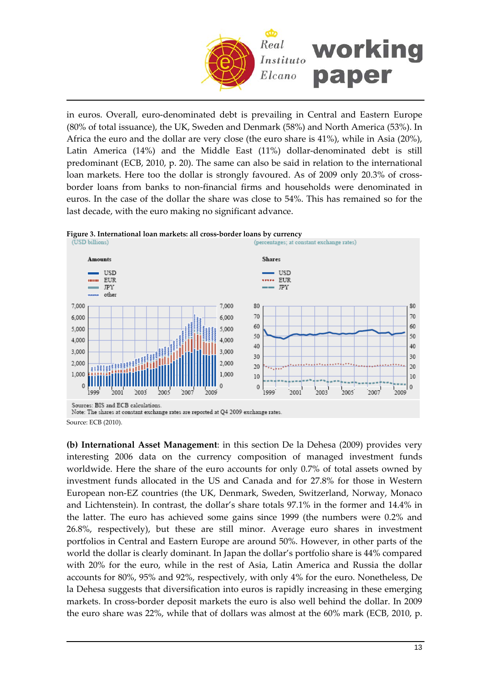

in euros. Overall, euro‐denominated debt is prevailing in Central and Eastern Europe (80% of total issuance), the UK, Sweden and Denmark (58%) and North America (53%). In Africa the euro and the dollar are very close (the euro share is 41%), while in Asia (20%), Latin America (14%) and the Middle East (11%) dollar‐denominated debt is still predominant (ECB, 2010, p. 20). The same can also be said in relation to the international loan markets. Here too the dollar is strongly favoured. As of 2009 only 20.3% of crossborder loans from banks to non‐financial firms and households were denominated in euros. In the case of the dollar the share was close to 54%. This has remained so for the last decade, with the euro making no significant advance.



Source: ECB (2010).

**(b) International Asset Management**: in this section De la Dehesa (2009) provides very interesting 2006 data on the currency composition of managed investment funds worldwide. Here the share of the euro accounts for only 0.7% of total assets owned by investment funds allocated in the US and Canada and for 27.8% for those in Western European non‐EZ countries (the UK, Denmark, Sweden, Switzerland, Norway, Monaco and Lichtenstein). In contrast, the dollar's share totals 97.1% in the former and 14.4% in the latter. The euro has achieved some gains since 1999 (the numbers were 0.2% and 26.8%, respectively), but these are still minor. Average euro shares in investment portfolios in Central and Eastern Europe are around 50%. However, in other parts of the world the dollar is clearly dominant. In Japan the dollar's portfolio share is 44% compared with 20% for the euro, while in the rest of Asia, Latin America and Russia the dollar accounts for 80%, 95% and 92%, respectively, with only 4% for the euro. Nonetheless, De la Dehesa suggests that diversification into euros is rapidly increasing in these emerging markets. In cross‐border deposit markets the euro is also well behind the dollar. In 2009 the euro share was 22%, while that of dollars was almost at the 60% mark (ECB, 2010, p.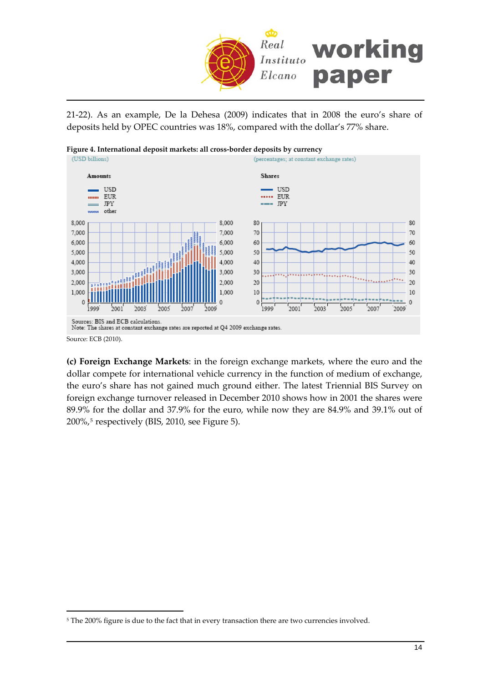

21‐22). As an example, De la Dehesa (2009) indicates that in 2008 the euro's share of deposits held by OPEC countries was 18%, compared with the dollar's 77% share.





**(c) Foreign Exchange Markets**: in the foreign exchange markets, where the euro and the dollar compete for international vehicle currency in the function of medium of exchange, the euro's share has not gained much ground either. The latest Triennial BIS Survey on foreign exchange turnover released in December 2010 shows how in 2001 the shares were 89.9% for the dollar and 37.9% for the euro, while now they are 84.9% and 39.1% out of  $200\%$ ,<sup>[5](#page-13-0)</sup> respectively (BIS, 2010, see Figure 5).

<span id="page-13-0"></span><sup>&</sup>lt;sup>5</sup> The 200% figure is due to the fact that in every transaction there are two currencies involved.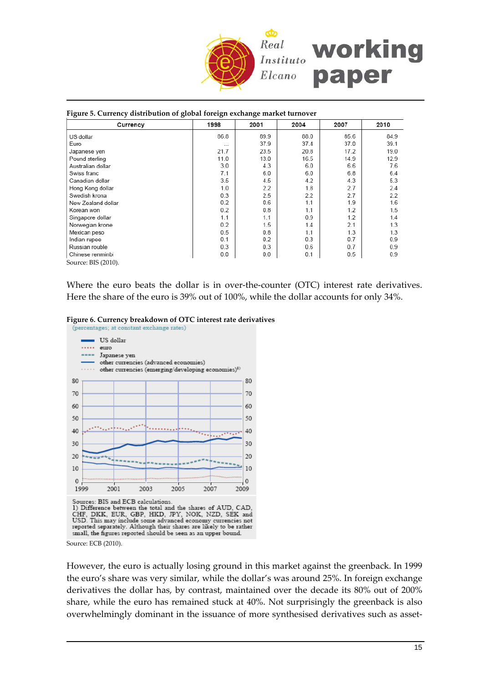

#### **Figure 5. Currency distribution of global foreign exchange market turnover**

| Currency            | 1998     | 2001     | 2004 | 2007 | 2010 |
|---------------------|----------|----------|------|------|------|
| US dollar           | 86.8     | 89.9     | 88.0 | 85.6 | 84.9 |
| Euro                | $\cdots$ | 37.9     | 37.4 | 37.0 | 39.1 |
| Japanese yen        | 21.7     | 23.5     | 20.8 | 17.2 | 19.0 |
| Pound sterling      | 11.0     | 13.0     | 16.5 | 14.9 | 12.9 |
| Australian dollar   | 3.0      | 4.3      | 6.0  | 6.6  | 7.6  |
| Swiss franc         | 7.1      | 6.0      | 6.0  | 6.8  | 6.4  |
| Canadian dollar     | 3.5      | 4.5      | 4.2  | 4.3  | 5.3  |
| Hong Kong dollar    | 1.0      | 2.2      | 1.8  | 2.7  | 2.4  |
| Swedish krona       | 0.3      | 2.5      | 2.2  | 2.7  | 2.2  |
| New Zealand dollar  | 0.2      | 0.6      | 1.1  | 1.9  | 1.6  |
| Korean won          | 0.2      | 0.8      | 1.1  | 1.2  | 1.5  |
| Singapore dollar    | 1.1      | 1.1      | 0.9  | 1.2  | 1.4  |
| Norwegian krone     | 0.2      | 1.5      | 1.4  | 2.1  | 1.3  |
| Mexican peso        | 0.5      | 0.8      | 1.1  | 1.3  | 1.3  |
| Indian rupee        | 0.1      | 0.2      | 0.3  | 0.7  | 0.9  |
| Russian rouble      | 0.3      | 0.3      | 0.6  | 0.7  | 0.9  |
| Chinese renminbi    | 0.0      | $_{0.0}$ | 0.1  | 0.5  | 0.9  |
| Source: BIS (2010). |          |          |      |      |      |

Where the euro beats the dollar is in over-the-counter (OTC) interest rate derivatives. Here the share of the euro is 39% out of 100%, while the dollar accounts for only 34%.

## **Figure 6. Currency breakdown of OTC interest rate derivatives**



Source: ECB (2010).

However, the euro is actually losing ground in this market against the greenback. In 1999 the euro's share was very similar, while the dollar's was around 25%. In foreign exchange derivatives the dollar has, by contrast, maintained over the decade its 80% out of 200% share, while the euro has remained stuck at 40%. Not surprisingly the greenback is also overwhelmingly dominant in the issuance of more synthesised derivatives such as asset-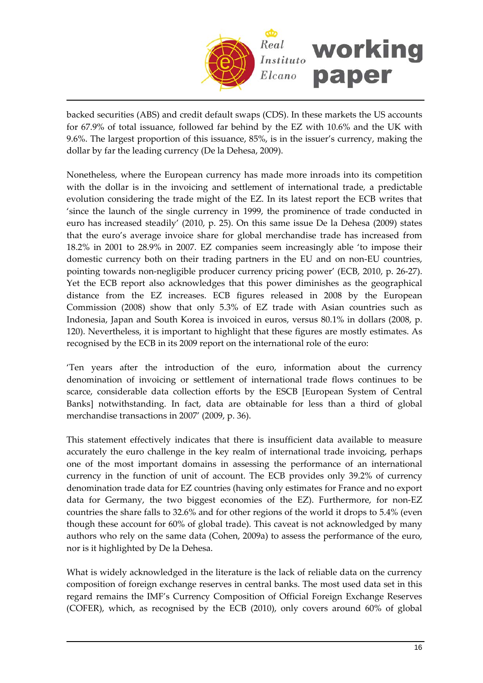

backed securities (ABS) and credit default swaps (CDS). In these markets the US accounts for 67.9% of total issuance, followed far behind by the EZ with 10.6% and the UK with 9.6%. The largest proportion of this issuance, 85%, is in the issuer's currency, making the dollar by far the leading currency (De la Dehesa, 2009).

Nonetheless, where the European currency has made more inroads into its competition with the dollar is in the invoicing and settlement of international trade, a predictable evolution considering the trade might of the EZ. In its latest report the ECB writes that 'since the launch of the single currency in 1999, the prominence of trade conducted in euro has increased steadily' (2010, p. 25). On this same issue De la Dehesa (2009) states that the euro's average invoice share for global merchandise trade has increased from 18.2% in 2001 to 28.9% in 2007. EZ companies seem increasingly able 'to impose their domestic currency both on their trading partners in the EU and on non‐EU countries, pointing towards non‐negligible producer currency pricing power' (ECB, 2010, p. 26‐27). Yet the ECB report also acknowledges that this power diminishes as the geographical distance from the EZ increases. ECB figures released in 2008 by the European Commission (2008) show that only 5.3% of EZ trade with Asian countries such as Indonesia, Japan and South Korea is invoiced in euros, versus 80.1% in dollars (2008, p. 120). Nevertheless, it is important to highlight that these figures are mostly estimates. As recognised by the ECB in its 2009 report on the international role of the euro:

'Ten years after the introduction of the euro, information about the currency denomination of invoicing or settlement of international trade flows continues to be scarce, considerable data collection efforts by the ESCB [European System of Central Banks] notwithstanding. In fact, data are obtainable for less than a third of global merchandise transactions in 2007' (2009, p. 36).

This statement effectively indicates that there is insufficient data available to measure accurately the euro challenge in the key realm of international trade invoicing, perhaps one of the most important domains in assessing the performance of an international currency in the function of unit of account. The ECB provides only 39.2% of currency denomination trade data for EZ countries (having only estimates for France and no export data for Germany, the two biggest economies of the EZ). Furthermore, for non‐EZ countries the share falls to 32.6% and for other regions of the world it drops to 5.4% (even though these account for 60% of global trade). This caveat is not acknowledged by many authors who rely on the same data (Cohen, 2009a) to assess the performance of the euro, nor is it highlighted by De la Dehesa.

What is widely acknowledged in the literature is the lack of reliable data on the currency composition of foreign exchange reserves in central banks. The most used data set in this regard remains the IMF's Currency Composition of Official Foreign Exchange Reserves (COFER), which, as recognised by the ECB (2010), only covers around 60% of global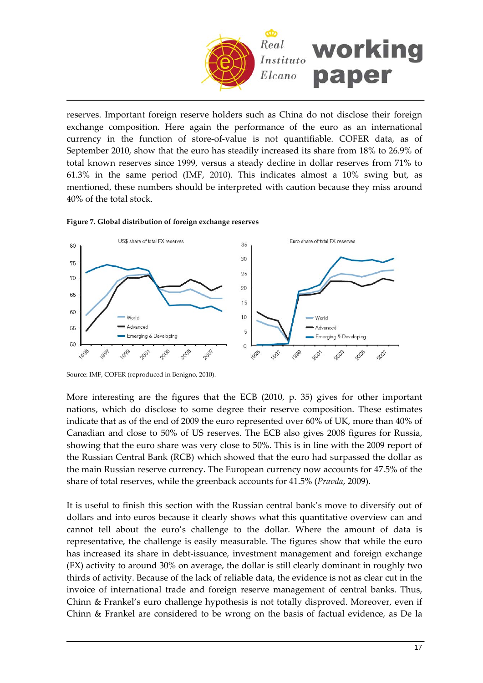

reserves. Important foreign reserve holders such as China do not disclose their foreign exchange composition. Here again the performance of the euro as an international currency in the function of store‐of‐value is not quantifiable. COFER data, as of September 2010, show that the euro has steadily increased its share from 18% to 26.9% of total known reserves since 1999, versus a steady decline in dollar reserves from 71% to 61.3% in the same period (IMF, 2010). This indicates almost a 10% swing but, as mentioned, these numbers should be interpreted with caution because they miss around 40% of the total stock.





Source: IMF, COFER (reproduced in Benigno, 2010).

More interesting are the figures that the ECB (2010, p. 35) gives for other important nations, which do disclose to some degree their reserve composition. These estimates indicate that as of the end of 2009 the euro represented over 60% of UK, more than 40% of Canadian and close to 50% of US reserves. The ECB also gives 2008 figures for Russia, showing that the euro share was very close to 50%. This is in line with the 2009 report of the Russian Central Bank (RCB) which showed that the euro had surpassed the dollar as the main Russian reserve currency. The European currency now accounts for 47.5% of the share of total reserves, while the greenback accounts for 41.5% (*Pravda*, 2009).

It is useful to finish this section with the Russian central bank's move to diversify out of dollars and into euros because it clearly shows what this quantitative overview can and cannot tell about the euro's challenge to the dollar. Where the amount of data is representative, the challenge is easily measurable. The figures show that while the euro has increased its share in debt-issuance, investment management and foreign exchange (FX) activity to around 30% on average, the dollar is still clearly dominant in roughly two thirds of activity. Because of the lack of reliable data, the evidence is not as clear cut in the invoice of international trade and foreign reserve management of central banks. Thus, Chinn & Frankel's euro challenge hypothesis is not totally disproved. Moreover, even if Chinn & Frankel are considered to be wrong on the basis of factual evidence, as De la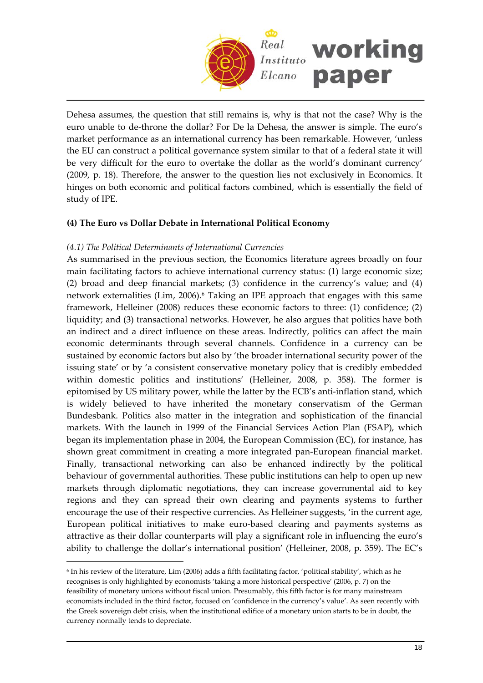

Dehesa assumes, the question that still remains is, why is that not the case? Why is the euro unable to de‐throne the dollar? For De la Dehesa, the answer is simple. The euro's market performance as an international currency has been remarkable. However, 'unless the EU can construct a political governance system similar to that of a federal state it will be very difficult for the euro to overtake the dollar as the world's dominant currency' (2009, p. 18). Therefore, the answer to the question lies not exclusively in Economics. It hinges on both economic and political factors combined, which is essentially the field of study of IPE.

## **(4) The Euro vs Dollar Debate in International Political Economy**

#### *(4.1) The Political Determinants of International Currencies*

 $\overline{a}$ 

As summarised in the previous section, the Economics literature agrees broadly on four main facilitating factors to achieve international currency status: (1) large economic size; (2) broad and deep financial markets; (3) confidence in the currency's value; and (4) network externalities (Lim, 2006).[6](#page-17-0) Taking an IPE approach that engages with this same framework, Helleiner (2008) reduces these economic factors to three: (1) confidence; (2) liquidity; and (3) transactional networks. However, he also argues that politics have both an indirect and a direct influence on these areas. Indirectly, politics can affect the main economic determinants through several channels. Confidence in a currency can be sustained by economic factors but also by 'the broader international security power of the issuing state' or by 'a consistent conservative monetary policy that is credibly embedded within domestic politics and institutions' (Helleiner, 2008, p. 358). The former is epitomised by US military power, while the latter by the ECB's anti-inflation stand, which is widely believed to have inherited the monetary conservatism of the German Bundesbank. Politics also matter in the integration and sophistication of the financial markets. With the launch in 1999 of the Financial Services Action Plan (FSAP), which began its implementation phase in 2004, the European Commission (EC), for instance, has shown great commitment in creating a more integrated pan‐European financial market. Finally, transactional networking can also be enhanced indirectly by the political behaviour of governmental authorities. These public institutions can help to open up new markets through diplomatic negotiations, they can increase governmental aid to key regions and they can spread their own clearing and payments systems to further encourage the use of their respective currencies. As Helleiner suggests, 'in the current age, European political initiatives to make euro-based clearing and payments systems as attractive as their dollar counterparts will play a significant role in influencing the euro's ability to challenge the dollar's international position' (Helleiner, 2008, p. 359). The EC's

<span id="page-17-0"></span> $6$  In his review of the literature, Lim (2006) adds a fifth facilitating factor, 'political stability', which as he recognises is only highlighted by economists 'taking a more historical perspective' (2006, p. 7) on the feasibility of monetary unions without fiscal union. Presumably, this fifth factor is for many mainstream economists included in the third factor, focused on 'confidence in the currency's value'. As seen recently with the Greek sovereign debt crisis, when the institutional edifice of a monetary union starts to be in doubt, the currency normally tends to depreciate.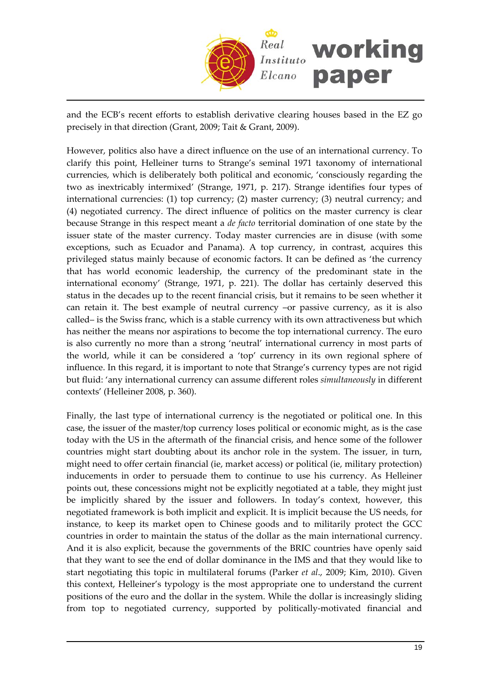

and the ECB's recent efforts to establish derivative clearing houses based in the EZ go precisely in that direction (Grant, 2009; Tait & Grant, 2009).

However, politics also have a direct influence on the use of an international currency. To clarify this point, Helleiner turns to Strange's seminal 1971 taxonomy of international currencies, which is deliberately both political and economic, 'consciously regarding the two as inextricably intermixed' (Strange, 1971, p. 217). Strange identifies four types of international currencies: (1) top currency; (2) master currency; (3) neutral currency; and (4) negotiated currency. The direct influence of politics on the master currency is clear because Strange in this respect meant a *de facto* territorial domination of one state by the issuer state of the master currency. Today master currencies are in disuse (with some exceptions, such as Ecuador and Panama). A top currency, in contrast, acquires this privileged status mainly because of economic factors. It can be defined as 'the currency that has world economic leadership, the currency of the predominant state in the international economy' (Strange, 1971, p. 221). The dollar has certainly deserved this status in the decades up to the recent financial crisis, but it remains to be seen whether it can retain it. The best example of neutral currency –or passive currency, as it is also called– is the Swiss franc, which is a stable currency with its own attractiveness but which has neither the means nor aspirations to become the top international currency. The euro is also currently no more than a strong 'neutral' international currency in most parts of the world, while it can be considered a 'top' currency in its own regional sphere of influence. In this regard, it is important to note that Strange's currency types are not rigid but fluid: 'any international currency can assume different roles *simultaneously* in different contexts' (Helleiner 2008, p. 360).

Finally, the last type of international currency is the negotiated or political one. In this case, the issuer of the master/top currency loses political or economic might, as is the case today with the US in the aftermath of the financial crisis, and hence some of the follower countries might start doubting about its anchor role in the system. The issuer, in turn, might need to offer certain financial (ie, market access) or political (ie, military protection) inducements in order to persuade them to continue to use his currency. As Helleiner points out, these concessions might not be explicitly negotiated at a table, they might just be implicitly shared by the issuer and followers. In today's context, however, this negotiated framework is both implicit and explicit. It is implicit because the US needs, for instance, to keep its market open to Chinese goods and to militarily protect the GCC countries in order to maintain the status of the dollar as the main international currency. And it is also explicit, because the governments of the BRIC countries have openly said that they want to see the end of dollar dominance in the IMS and that they would like to start negotiating this topic in multilateral forums (Parker *et al*., 2009; Kim, 2010). Given this context, Helleiner's typology is the most appropriate one to understand the current positions of the euro and the dollar in the system. While the dollar is increasingly sliding from top to negotiated currency, supported by politically‐motivated financial and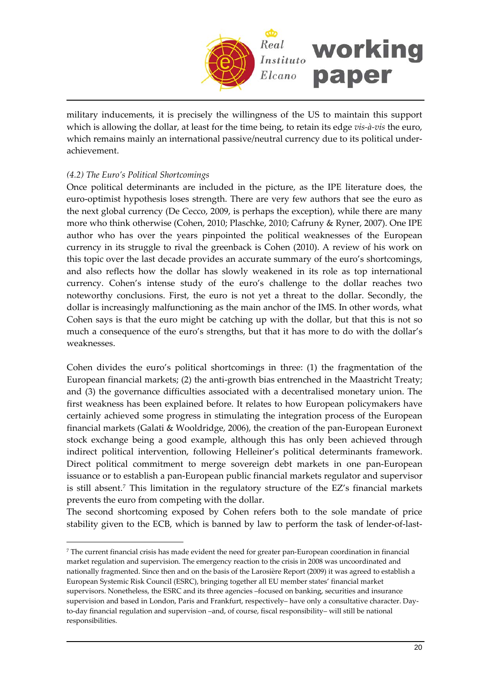

military inducements, it is precisely the willingness of the US to maintain this support which is allowing the dollar, at least for the time being, to retain its edge *vis‐à‐vis* the euro, which remains mainly an international passive/neutral currency due to its political underachievement.

## *(4.2) The Euro's Political Shortcomings*

 $\overline{a}$ 

Once political determinants are included in the picture, as the IPE literature does, the euro‐optimist hypothesis loses strength. There are very few authors that see the euro as the next global currency (De Cecco, 2009, is perhaps the exception), while there are many more who think otherwise (Cohen, 2010; Plaschke, 2010; Cafruny & Ryner, 2007). One IPE author who has over the years pinpointed the political weaknesses of the European currency in its struggle to rival the greenback is Cohen (2010). A review of his work on this topic over the last decade provides an accurate summary of the euro's shortcomings, and also reflects how the dollar has slowly weakened in its role as top international currency. Cohen's intense study of the euro's challenge to the dollar reaches two noteworthy conclusions. First, the euro is not yet a threat to the dollar. Secondly, the dollar is increasingly malfunctioning as the main anchor of the IMS. In other words, what Cohen says is that the euro might be catching up with the dollar, but that this is not so much a consequence of the euro's strengths, but that it has more to do with the dollar's weaknesses.

Cohen divides the euro's political shortcomings in three: (1) the fragmentation of the European financial markets; (2) the anti-growth bias entrenched in the Maastricht Treaty; and (3) the governance difficulties associated with a decentralised monetary union. The first weakness has been explained before. It relates to how European policymakers have certainly achieved some progress in stimulating the integration process of the European financial markets (Galati & Wooldridge, 2006), the creation of the pan-European Euronext stock exchange being a good example, although this has only been achieved through indirect political intervention, following Helleiner's political determinants framework. Direct political commitment to merge sovereign debt markets in one pan‐European issuance or to establish a pan‐European public financial markets regulator and supervisor is still absent.[7](#page-19-0) This limitation in the regulatory structure of the EZ's financial markets prevents the euro from competing with the dollar.

The second shortcoming exposed by Cohen refers both to the sole mandate of price stability given to the ECB, which is banned by law to perform the task of lender‐of‐last‐

<span id="page-19-0"></span><sup>7</sup> The current financial crisis has made evident the need for greater pan‐European coordination in financial market regulation and supervision. The emergency reaction to the crisis in 2008 was uncoordinated and nationally fragmented. Since then and on the basis of the Larosière Report (2009) it was agreed to establish a European Systemic Risk Council (ESRC), bringing together all EU member states' financial market supervisors. Nonetheless, the ESRC and its three agencies –focused on banking, securities and insurance supervision and based in London, Paris and Frankfurt, respectively– have only a consultative character. Dayto-day financial regulation and supervision –and, of course, fiscal responsibility– will still be national responsibilities.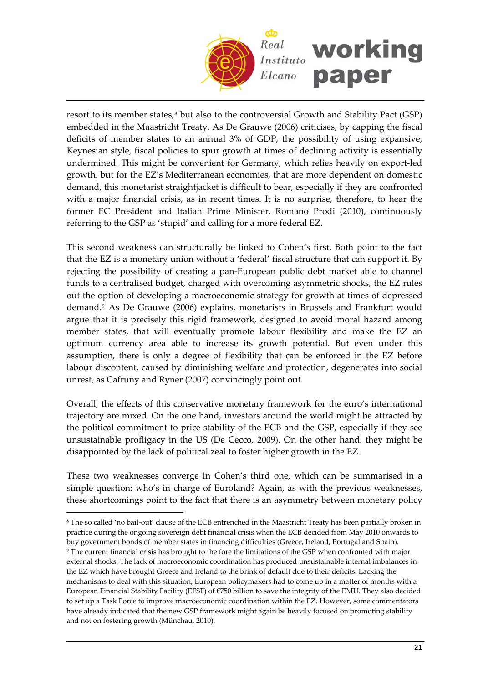

resort to its member states,<sup>[8](#page-20-0)</sup> but also to the controversial Growth and Stability Pact (GSP) embedded in the Maastricht Treaty. As De Grauwe (2006) criticises, by capping the fiscal deficits of member states to an annual 3% of GDP, the possibility of using expansive, Keynesian style, fiscal policies to spur growth at times of declining activity is essentially undermined. This might be convenient for Germany, which relies heavily on export‐led growth, but for the EZ's Mediterranean economies, that are more dependent on domestic demand, this monetarist straightjacket is difficult to bear, especially if they are confronted with a major financial crisis, as in recent times. It is no surprise, therefore, to hear the former EC President and Italian Prime Minister, Romano Prodi (2010), continuously referring to the GSP as 'stupid' and calling for a more federal EZ.

This second weakness can structurally be linked to Cohen's first. Both point to the fact that the EZ is a monetary union without a 'federal' fiscal structure that can support it. By rejecting the possibility of creating a pan‐European public debt market able to channel funds to a centralised budget, charged with overcoming asymmetric shocks, the EZ rules out the option of developing a macroeconomic strategy for growth at times of depressed demand.[9](#page-20-1) As De Grauwe (2006) explains, monetarists in Brussels and Frankfurt would argue that it is precisely this rigid framework, designed to avoid moral hazard among member states, that will eventually promote labour flexibility and make the EZ an optimum currency area able to increase its growth potential. But even under this assumption, there is only a degree of flexibility that can be enforced in the EZ before labour discontent, caused by diminishing welfare and protection, degenerates into social unrest, as Cafruny and Ryner (2007) convincingly point out.

Overall, the effects of this conservative monetary framework for the euro's international trajectory are mixed. On the one hand, investors around the world might be attracted by the political commitment to price stability of the ECB and the GSP, especially if they see unsustainable profligacy in the US (De Cecco, 2009). On the other hand, they might be disappointed by the lack of political zeal to foster higher growth in the EZ.

These two weaknesses converge in Cohen's third one, which can be summarised in a simple question: who's in charge of Euroland? Again, as with the previous weaknesses, these shortcomings point to the fact that there is an asymmetry between monetary policy

<span id="page-20-0"></span><sup>8</sup> The so called 'no bail‐out' clause of the ECB entrenched in the Maastricht Treaty has been partially broken in practice during the ongoing sovereign debt financial crisis when the ECB decided from May 2010 onwards to buy government bonds of member states in financing difficulties (Greece, Ireland, Portugal and Spain).

<span id="page-20-1"></span><sup>9</sup> The current financial crisis has brought to the fore the limitations of the GSP when confronted with major external shocks. The lack of macroeconomic coordination has produced unsustainable internal imbalances in the EZ which have brought Greece and Ireland to the brink of default due to their deficits. Lacking the mechanisms to deal with this situation, European policymakers had to come up in a matter of months with a European Financial Stability Facility (EFSF) of €750 billion to save the integrity of the EMU. They also decided to set up a Task Force to improve macroeconomic coordination within the EZ. However, some commentators have already indicated that the new GSP framework might again be heavily focused on promoting stability and not on fostering growth (Münchau, 2010).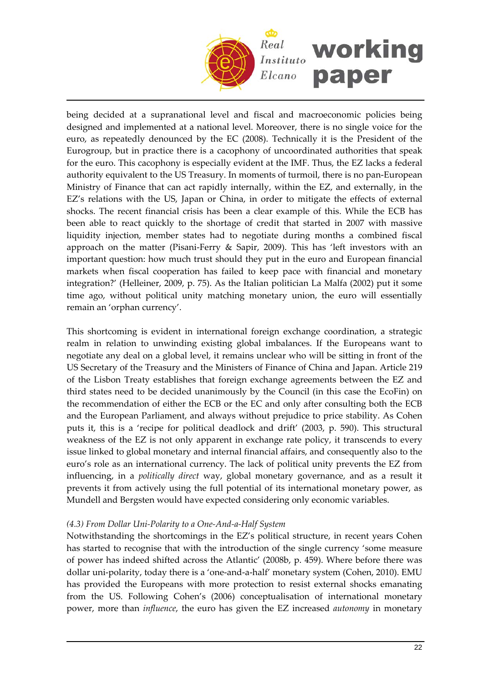

being decided at a supranational level and fiscal and macroeconomic policies being designed and implemented at a national level. Moreover, there is no single voice for the euro, as repeatedly denounced by the EC (2008). Technically it is the President of the Eurogroup, but in practice there is a cacophony of uncoordinated authorities that speak for the euro. This cacophony is especially evident at the IMF. Thus, the EZ lacks a federal authority equivalent to the US Treasury. In moments of turmoil, there is no pan‐European Ministry of Finance that can act rapidly internally, within the EZ, and externally, in the EZ's relations with the US, Japan or China, in order to mitigate the effects of external shocks. The recent financial crisis has been a clear example of this. While the ECB has been able to react quickly to the shortage of credit that started in 2007 with massive liquidity injection, member states had to negotiate during months a combined fiscal approach on the matter (Pisani‐Ferry & Sapir, 2009). This has 'left investors with an important question: how much trust should they put in the euro and European financial markets when fiscal cooperation has failed to keep pace with financial and monetary integration?' (Helleiner, 2009, p. 75). As the Italian politician La Malfa (2002) put it some time ago, without political unity matching monetary union, the euro will essentially remain an 'orphan currency'.

This shortcoming is evident in international foreign exchange coordination, a strategic realm in relation to unwinding existing global imbalances. If the Europeans want to negotiate any deal on a global level, it remains unclear who will be sitting in front of the US Secretary of the Treasury and the Ministers of Finance of China and Japan. Article 219 of the Lisbon Treaty establishes that foreign exchange agreements between the EZ and third states need to be decided unanimously by the Council (in this case the EcoFin) on the recommendation of either the ECB or the EC and only after consulting both the ECB and the European Parliament, and always without prejudice to price stability. As Cohen puts it, this is a 'recipe for political deadlock and drift' (2003, p. 590). This structural weakness of the EZ is not only apparent in exchange rate policy, it transcends to every issue linked to global monetary and internal financial affairs, and consequently also to the euro's role as an international currency. The lack of political unity prevents the EZ from influencing, in a *politically direct* way, global monetary governance, and as a result it prevents it from actively using the full potential of its international monetary power, as Mundell and Bergsten would have expected considering only economic variables.

## *(4.3) From Dollar Uni‐Polarity to a One‐And‐a‐Half System*

Notwithstanding the shortcomings in the EZ's political structure, in recent years Cohen has started to recognise that with the introduction of the single currency 'some measure of power has indeed shifted across the Atlantic' (2008b, p. 459). Where before there was dollar uni-polarity, today there is a 'one-and-a-half' monetary system (Cohen, 2010). EMU has provided the Europeans with more protection to resist external shocks emanating from the US. Following Cohen's (2006) conceptualisation of international monetary power, more than *influence*, the euro has given the EZ increased *autonomy* in monetary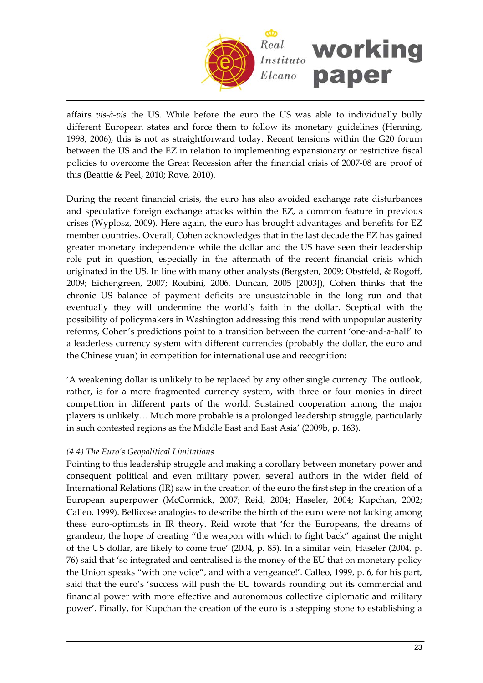

affairs *vis‐à‐vis* the US. While before the euro the US was able to individually bully different European states and force them to follow its monetary guidelines (Henning, 1998, 2006), this is not as straightforward today. Recent tensions within the G20 forum between the US and the EZ in relation to implementing expansionary or restrictive fiscal policies to overcome the Great Recession after the financial crisis of 2007‐08 are proof of this (Beattie & Peel, 2010; Rove, 2010).

During the recent financial crisis, the euro has also avoided exchange rate disturbances and speculative foreign exchange attacks within the EZ, a common feature in previous crises (Wyplosz, 2009). Here again, the euro has brought advantages and benefits for EZ member countries. Overall, Cohen acknowledges that in the last decade the EZ has gained greater monetary independence while the dollar and the US have seen their leadership role put in question, especially in the aftermath of the recent financial crisis which originated in the US. In line with many other analysts (Bergsten, 2009; Obstfeld, & Rogoff, 2009; Eichengreen, 2007; Roubini, 2006, Duncan, 2005 [2003]), Cohen thinks that the chronic US balance of payment deficits are unsustainable in the long run and that eventually they will undermine the world's faith in the dollar. Sceptical with the possibility of policymakers in Washington addressing this trend with unpopular austerity reforms, Cohen's predictions point to a transition between the current 'one‐and‐a‐half' to a leaderless currency system with different currencies (probably the dollar, the euro and the Chinese yuan) in competition for international use and recognition:

'A weakening dollar is unlikely to be replaced by any other single currency. The outlook, rather, is for a more fragmented currency system, with three or four monies in direct competition in different parts of the world. Sustained cooperation among the major players is unlikely… Much more probable is a prolonged leadership struggle, particularly in such contested regions as the Middle East and East Asia' (2009b, p. 163).

## *(4.4) The Euro's Geopolitical Limitations*

Pointing to this leadership struggle and making a corollary between monetary power and consequent political and even military power, several authors in the wider field of International Relations (IR) saw in the creation of the euro the first step in the creation of a European superpower (McCormick, 2007; Reid, 2004; Haseler, 2004; Kupchan, 2002; Calleo, 1999). Bellicose analogies to describe the birth of the euro were not lacking among these euro‐optimists in IR theory. Reid wrote that 'for the Europeans, the dreams of grandeur, the hope of creating "the weapon with which to fight back" against the might of the US dollar, are likely to come true' (2004, p. 85). In a similar vein, Haseler (2004, p. 76) said that 'so integrated and centralised is the money of the EU that on monetary policy the Union speaks "with one voice", and with a vengeance!'. Calleo, 1999, p. 6, for his part, said that the euro's 'success will push the EU towards rounding out its commercial and financial power with more effective and autonomous collective diplomatic and military power'. Finally, for Kupchan the creation of the euro is a stepping stone to establishing a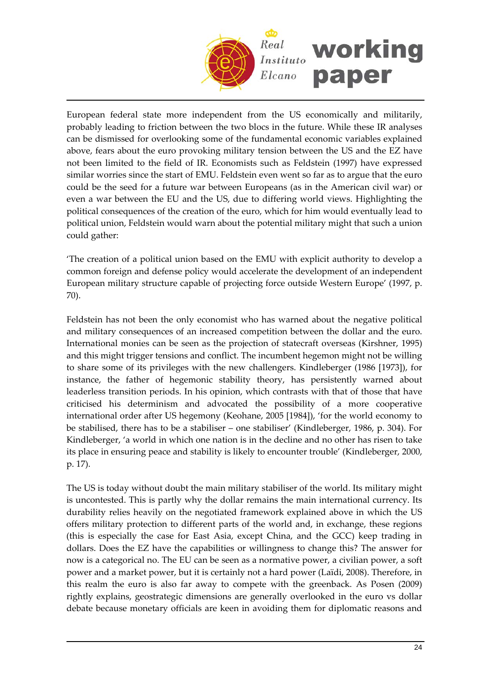

European federal state more independent from the US economically and militarily, probably leading to friction between the two blocs in the future. While these IR analyses can be dismissed for overlooking some of the fundamental economic variables explained above, fears about the euro provoking military tension between the US and the EZ have not been limited to the field of IR. Economists such as Feldstein (1997) have expressed similar worries since the start of EMU. Feldstein even went so far as to argue that the euro could be the seed for a future war between Europeans (as in the American civil war) or even a war between the EU and the US, due to differing world views. Highlighting the political consequences of the creation of the euro, which for him would eventually lead to political union, Feldstein would warn about the potential military might that such a union could gather:

'The creation of a political union based on the EMU with explicit authority to develop a common foreign and defense policy would accelerate the development of an independent European military structure capable of projecting force outside Western Europe' (1997, p. 70).

Feldstein has not been the only economist who has warned about the negative political and military consequences of an increased competition between the dollar and the euro. International monies can be seen as the projection of statecraft overseas (Kirshner, 1995) and this might trigger tensions and conflict. The incumbent hegemon might not be willing to share some of its privileges with the new challengers. Kindleberger (1986 [1973]), for instance, the father of hegemonic stability theory, has persistently warned about leaderless transition periods. In his opinion, which contrasts with that of those that have criticised his determinism and advocated the possibility of a more cooperative international order after US hegemony (Keohane, 2005 [1984]), 'for the world economy to be stabilised, there has to be a stabiliser – one stabiliser' (Kindleberger, 1986, p. 304). For Kindleberger, 'a world in which one nation is in the decline and no other has risen to take its place in ensuring peace and stability is likely to encounter trouble' (Kindleberger, 2000, p. 17).

The US is today without doubt the main military stabiliser of the world. Its military might is uncontested. This is partly why the dollar remains the main international currency. Its durability relies heavily on the negotiated framework explained above in which the US offers military protection to different parts of the world and, in exchange, these regions (this is especially the case for East Asia, except China, and the GCC) keep trading in dollars. Does the EZ have the capabilities or willingness to change this? The answer for now is a categorical no. The EU can be seen as a normative power, a civilian power, a soft power and a market power, but it is certainly not a hard power (Laïdi, 2008). Therefore, in this realm the euro is also far away to compete with the greenback. As Posen (2009) rightly explains, geostrategic dimensions are generally overlooked in the euro vs dollar debate because monetary officials are keen in avoiding them for diplomatic reasons and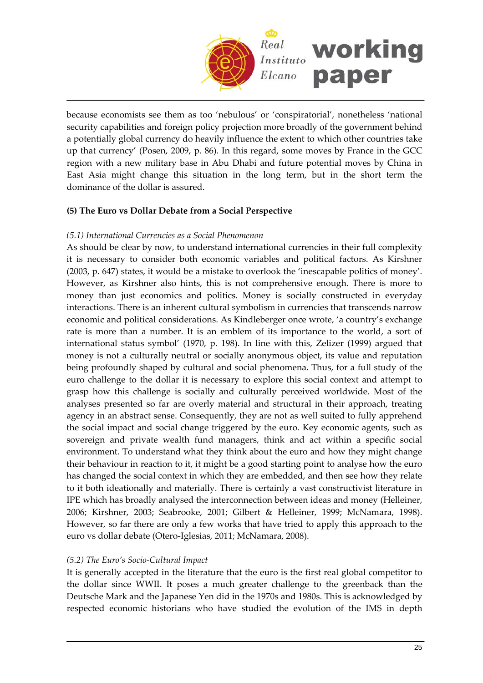

because economists see them as too 'nebulous' or 'conspiratorial', nonetheless 'national security capabilities and foreign policy projection more broadly of the government behind a potentially global currency do heavily influence the extent to which other countries take up that currency' (Posen, 2009, p. 86). In this regard, some moves by France in the GCC region with a new military base in Abu Dhabi and future potential moves by China in East Asia might change this situation in the long term, but in the short term the dominance of the dollar is assured.

## **(5) The Euro vs Dollar Debate from a Social Perspective**

#### *(5.1) International Currencies as a Social Phenomenon*

As should be clear by now, to understand international currencies in their full complexity it is necessary to consider both economic variables and political factors. As Kirshner (2003, p. 647) states, it would be a mistake to overlook the 'inescapable politics of money'. However, as Kirshner also hints, this is not comprehensive enough. There is more to money than just economics and politics. Money is socially constructed in everyday interactions. There is an inherent cultural symbolism in currencies that transcends narrow economic and political considerations. As Kindleberger once wrote, 'a country's exchange rate is more than a number. It is an emblem of its importance to the world, a sort of international status symbol' (1970, p. 198). In line with this, Zelizer (1999) argued that money is not a culturally neutral or socially anonymous object, its value and reputation being profoundly shaped by cultural and social phenomena. Thus, for a full study of the euro challenge to the dollar it is necessary to explore this social context and attempt to grasp how this challenge is socially and culturally perceived worldwide. Most of the analyses presented so far are overly material and structural in their approach, treating agency in an abstract sense. Consequently, they are not as well suited to fully apprehend the social impact and social change triggered by the euro. Key economic agents, such as sovereign and private wealth fund managers, think and act within a specific social environment. To understand what they think about the euro and how they might change their behaviour in reaction to it, it might be a good starting point to analyse how the euro has changed the social context in which they are embedded, and then see how they relate to it both ideationally and materially. There is certainly a vast constructivist literature in IPE which has broadly analysed the interconnection between ideas and money (Helleiner, 2006; Kirshner, 2003; Seabrooke, 2001; Gilbert & Helleiner, 1999; McNamara, 1998). However, so far there are only a few works that have tried to apply this approach to the euro vs dollar debate (Otero‐Iglesias, 2011; McNamara, 2008).

#### *(5.2) The Euro's Socio‐Cultural Impact*

It is generally accepted in the literature that the euro is the first real global competitor to the dollar since WWII. It poses a much greater challenge to the greenback than the Deutsche Mark and the Japanese Yen did in the 1970s and 1980s. This is acknowledged by respected economic historians who have studied the evolution of the IMS in depth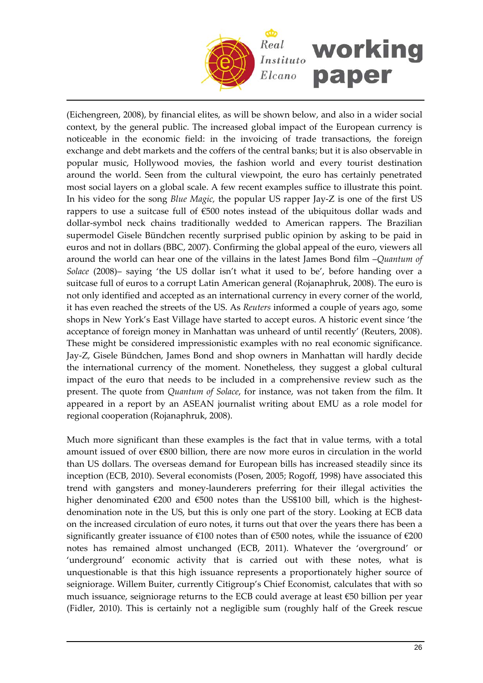

(Eichengreen, 2008), by financial elites, as will be shown below, and also in a wider social context, by the general public. The increased global impact of the European currency is noticeable in the economic field: in the invoicing of trade transactions, the foreign exchange and debt markets and the coffers of the central banks; but it is also observable in popular music, Hollywood movies, the fashion world and every tourist destination around the world. Seen from the cultural viewpoint, the euro has certainly penetrated most social layers on a global scale. A few recent examples suffice to illustrate this point. In his video for the song *Blue Magic*, the popular US rapper Jay-Z is one of the first US rappers to use a suitcase full of €500 notes instead of the ubiquitous dollar wads and dollar‐symbol neck chains traditionally wedded to American rappers. The Brazilian supermodel Gisele Bündchen recently surprised public opinion by asking to be paid in euros and not in dollars (BBC, 2007). Confirming the global appeal of the euro, viewers all around the world can hear one of the villains in the latest James Bond film –*Quantum of Solace* (2008)– saying 'the US dollar isn't what it used to be', before handing over a suitcase full of euros to a corrupt Latin American general (Rojanaphruk, 2008). The euro is not only identified and accepted as an international currency in every corner of the world, it has even reached the streets of the US. As *Reuters* informed a couple of years ago, some shops in New York's East Village have started to accept euros. A historic event since 'the acceptance of foreign money in Manhattan was unheard of until recently' (Reuters, 2008). These might be considered impressionistic examples with no real economic significance. Jay‐Z, Gisele Bündchen, James Bond and shop owners in Manhattan will hardly decide the international currency of the moment. Nonetheless, they suggest a global cultural impact of the euro that needs to be included in a comprehensive review such as the present. The quote from *Quantum of Solace*, for instance, was not taken from the film. It appeared in a report by an ASEAN journalist writing about EMU as a role model for regional cooperation (Rojanaphruk, 2008).

Much more significant than these examples is the fact that in value terms, with a total amount issued of over €800 billion, there are now more euros in circulation in the world than US dollars. The overseas demand for European bills has increased steadily since its inception (ECB, 2010). Several economists (Posen, 2005; Rogoff, 1998) have associated this trend with gangsters and money‐launderers preferring for their illegal activities the higher denominated  $\epsilon$ 200 and  $\epsilon$ 500 notes than the US\$100 bill, which is the highestdenomination note in the US, but this is only one part of the story. Looking at ECB data on the increased circulation of euro notes, it turns out that over the years there has been a significantly greater issuance of  $\epsilon$ 100 notes than of  $\epsilon$ 500 notes, while the issuance of  $\epsilon$ 200 notes has remained almost unchanged (ECB, 2011). Whatever the 'overground' or 'underground' economic activity that is carried out with these notes, what is unquestionable is that this high issuance represents a proportionately higher source of seigniorage. Willem Buiter, currently Citigroup's Chief Economist, calculates that with so much issuance, seigniorage returns to the ECB could average at least €50 billion per year (Fidler, 2010). This is certainly not a negligible sum (roughly half of the Greek rescue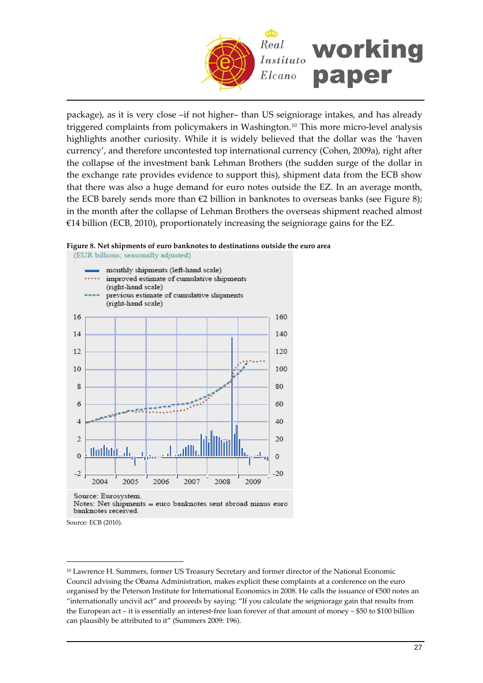

package), as it is very close –if not higher– than US seigniorage intakes, and has already triggered complaints from policymakers in Washington.<sup>[10](#page-26-0)</sup> This more micro-level analysis highlights another curiosity. While it is widely believed that the dollar was the 'haven currency', and therefore uncontested top international currency (Cohen, 2009a), right after the collapse of the investment bank Lehman Brothers (the sudden surge of the dollar in the exchange rate provides evidence to support this), shipment data from the ECB show that there was also a huge demand for euro notes outside the EZ. In an average month, the ECB barely sends more than €2 billion in banknotes to overseas banks (see Figure 8); in the month after the collapse of Lehman Brothers the overseas shipment reached almost €14 billion (ECB, 2010), proportionately increasing the seigniorage gains for the EZ.

#### **Figure 8. Net shipments of euro banknotes to destinations outside the euro area**



Source: Eurosystem. Notes: Net shipments = euro banknotes sent abroad minus euro banknotes received.

Source: ECB (2010).

<span id="page-26-0"></span><sup>&</sup>lt;sup>10</sup> Lawrence H. Summers, former US Treasury Secretary and former director of the National Economic Council advising the Obama Administration, makes explicit these complaints at a conference on the euro organised by the Peterson Institute for International Economics in 2008. He calls the issuance of €500 notes an "internationally uncivil act" and proceeds by saying: "If you calculate the seigniorage gain that results from the European act – it is essentially an interest‐free loan forever of that amount of money – \$50 to \$100 billion can plausibly be attributed to it" (Summers 2009: 196).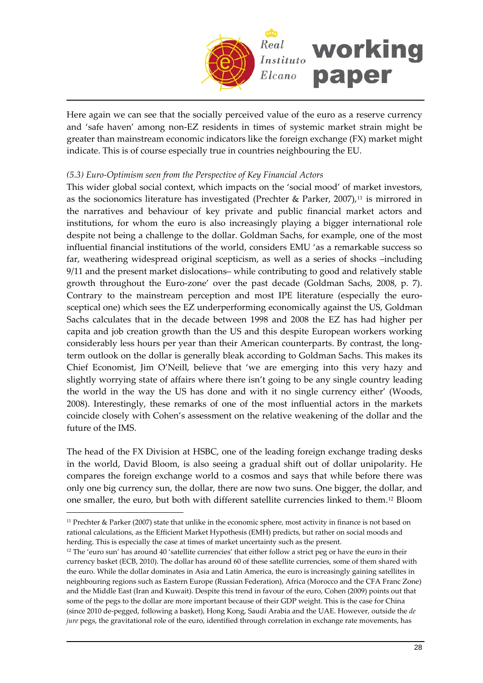

Here again we can see that the socially perceived value of the euro as a reserve currency and 'safe haven' among non‐EZ residents in times of systemic market strain might be greater than mainstream economic indicators like the foreign exchange (FX) market might indicate. This is of course especially true in countries neighbouring the EU.

### *(5.3) Euro‐Optimism seen from the Perspective of Key Financial Actors*

This wider global social context, which impacts on the 'social mood' of market investors, as the socionomics literature has investigated (Prechter & Parker, 2007), $11$  is mirrored in the narratives and behaviour of key private and public financial market actors and institutions, for whom the euro is also increasingly playing a bigger international role despite not being a challenge to the dollar. Goldman Sachs, for example, one of the most influential financial institutions of the world, considers EMU 'as a remarkable success so far, weathering widespread original scepticism, as well as a series of shocks –including 9/11 and the present market dislocations– while contributing to good and relatively stable growth throughout the Euro‐zone' over the past decade (Goldman Sachs, 2008, p. 7). Contrary to the mainstream perception and most IPE literature (especially the eurosceptical one) which sees the EZ underperforming economically against the US, Goldman Sachs calculates that in the decade between 1998 and 2008 the EZ has had higher per capita and job creation growth than the US and this despite European workers working considerably less hours per year than their American counterparts. By contrast, the long‐ term outlook on the dollar is generally bleak according to Goldman Sachs. This makes its Chief Economist, Jim O'Neill, believe that 'we are emerging into this very hazy and slightly worrying state of affairs where there isn't going to be any single country leading the world in the way the US has done and with it no single currency either' (Woods, 2008). Interestingly, these remarks of one of the most influential actors in the markets coincide closely with Cohen's assessment on the relative weakening of the dollar and the future of the IMS.

The head of the FX Division at HSBC, one of the leading foreign exchange trading desks in the world, David Bloom, is also seeing a gradual shift out of dollar unipolarity. He compares the foreign exchange world to a cosmos and says that while before there was only one big currency sun, the dollar, there are now two suns. One bigger, the dollar, and one smaller, the euro, but both with different satellite currencies linked to them.[12](#page-27-1) Bloom

<span id="page-27-0"></span><sup>11</sup> Prechter & Parker (2007) state that unlike in the economic sphere, most activity in finance is not based on rational calculations, as the Efficient Market Hypothesis (EMH) predicts, but rather on social moods and herding. This is especially the case at times of market uncertainty such as the present.

<span id="page-27-1"></span><sup>&</sup>lt;sup>12</sup> The 'euro sun' has around 40 'satellite currencies' that either follow a strict peg or have the euro in their currency basket (ECB, 2010). The dollar has around 60 of these satellite currencies, some of them shared with the euro. While the dollar dominates in Asia and Latin America, the euro is increasingly gaining satellites in neighbouring regions such as Eastern Europe (Russian Federation), Africa (Morocco and the CFA Franc Zone) and the Middle East (Iran and Kuwait). Despite this trend in favour of the euro, Cohen (2009) points out that some of the pegs to the dollar are more important because of their GDP weight. This is the case for China (since 2010 de‐pegged, following a basket), Hong Kong, Saudi Arabia and the UAE. However, outside the *de jure* pegs, the gravitational role of the euro, identified through correlation in exchange rate movements, has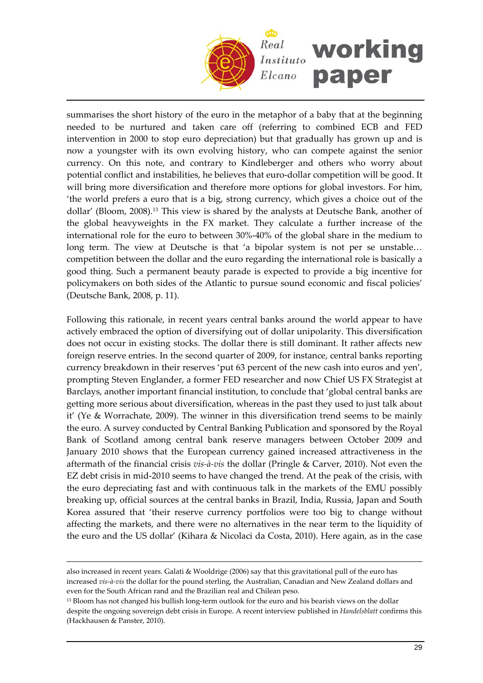

summarises the short history of the euro in the metaphor of a baby that at the beginning needed to be nurtured and taken care off (referring to combined ECB and FED intervention in 2000 to stop euro depreciation) but that gradually has grown up and is now a youngster with its own evolving history, who can compete against the senior currency. On this note, and contrary to Kindleberger and others who worry about potential conflict and instabilities, he believes that euro‐dollar competition will be good. It will bring more diversification and therefore more options for global investors. For him, 'the world prefers a euro that is a big, strong currency, which gives a choice out of the dollar' (Bloom, 2008)[.13](#page-28-0) This view is shared by the analysts at Deutsche Bank, another of the global heavyweights in the FX market. They calculate a further increase of the international role for the euro to between 30%‐40% of the global share in the medium to long term. The view at Deutsche is that 'a bipolar system is not per se unstable… competition between the dollar and the euro regarding the international role is basically a good thing. Such a permanent beauty parade is expected to provide a big incentive for policymakers on both sides of the Atlantic to pursue sound economic and fiscal policies' (Deutsche Bank, 2008, p. 11).

Following this rationale, in recent years central banks around the world appear to have actively embraced the option of diversifying out of dollar unipolarity. This diversification does not occur in existing stocks. The dollar there is still dominant. It rather affects new foreign reserve entries. In the second quarter of 2009, for instance, central banks reporting currency breakdown in their reserves 'put 63 percent of the new cash into euros and yen', prompting Steven Englander, a former FED researcher and now Chief US FX Strategist at Barclays, another important financial institution, to conclude that 'global central banks are getting more serious about diversification, whereas in the past they used to just talk about it' (Ye & Worrachate, 2009). The winner in this diversification trend seems to be mainly the euro. A survey conducted by Central Banking Publication and sponsored by the Royal Bank of Scotland among central bank reserve managers between October 2009 and January 2010 shows that the European currency gained increased attractiveness in the aftermath of the financial crisis *vis‐à‐vis* the dollar (Pringle & Carver, 2010). Not even the EZ debt crisis in mid-2010 seems to have changed the trend. At the peak of the crisis, with the euro depreciating fast and with continuous talk in the markets of the EMU possibly breaking up, official sources at the central banks in Brazil, India, Russia, Japan and South Korea assured that 'their reserve currency portfolios were too big to change without affecting the markets, and there were no alternatives in the near term to the liquidity of the euro and the US dollar' (Kihara & Nicolaci da Costa, 2010). Here again, as in the case

also increased in recent years. Galati & Wooldrige (2006) say that this gravitational pull of the euro has increased *vis‐à‐vis* the dollar for the pound sterling, the Australian, Canadian and New Zealand dollars and even for the South African rand and the Brazilian real and Chilean peso.

<span id="page-28-0"></span><sup>&</sup>lt;sup>13</sup> Bloom has not changed his bullish long-term outlook for the euro and his bearish views on the dollar despite the ongoing sovereign debt crisis in Europe. A recent interview published in *Handelsblatt* confirms this (Hackhausen & Panster, 2010).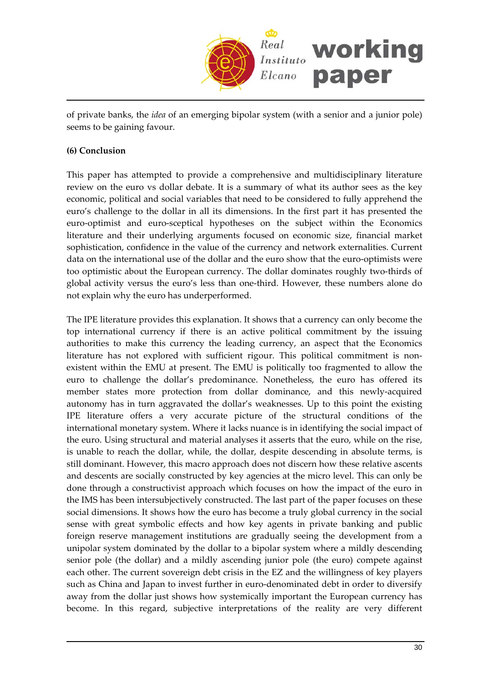

of private banks, the *idea* of an emerging bipolar system (with a senior and a junior pole) seems to be gaining favour.

## **(6) Conclusion**

This paper has attempted to provide a comprehensive and multidisciplinary literature review on the euro vs dollar debate. It is a summary of what its author sees as the key economic, political and social variables that need to be considered to fully apprehend the euro's challenge to the dollar in all its dimensions. In the first part it has presented the euro-optimist and euro-sceptical hypotheses on the subject within the Economics literature and their underlying arguments focused on economic size, financial market sophistication, confidence in the value of the currency and network externalities. Current data on the international use of the dollar and the euro show that the euro‐optimists were too optimistic about the European currency. The dollar dominates roughly two‐thirds of global activity versus the euro's less than one‐third. However, these numbers alone do not explain why the euro has underperformed.

The IPE literature provides this explanation. It shows that a currency can only become the top international currency if there is an active political commitment by the issuing authorities to make this currency the leading currency, an aspect that the Economics literature has not explored with sufficient rigour. This political commitment is nonexistent within the EMU at present. The EMU is politically too fragmented to allow the euro to challenge the dollar's predominance. Nonetheless, the euro has offered its member states more protection from dollar dominance, and this newly-acquired autonomy has in turn aggravated the dollar's weaknesses. Up to this point the existing IPE literature offers a very accurate picture of the structural conditions of the international monetary system. Where it lacks nuance is in identifying the social impact of the euro. Using structural and material analyses it asserts that the euro, while on the rise, is unable to reach the dollar, while, the dollar, despite descending in absolute terms, is still dominant. However, this macro approach does not discern how these relative ascents and descents are socially constructed by key agencies at the micro level. This can only be done through a constructivist approach which focuses on how the impact of the euro in the IMS has been intersubjectively constructed. The last part of the paper focuses on these social dimensions. It shows how the euro has become a truly global currency in the social sense with great symbolic effects and how key agents in private banking and public foreign reserve management institutions are gradually seeing the development from a unipolar system dominated by the dollar to a bipolar system where a mildly descending senior pole (the dollar) and a mildly ascending junior pole (the euro) compete against each other. The current sovereign debt crisis in the EZ and the willingness of key players such as China and Japan to invest further in euro‐denominated debt in order to diversify away from the dollar just shows how systemically important the European currency has become. In this regard, subjective interpretations of the reality are very different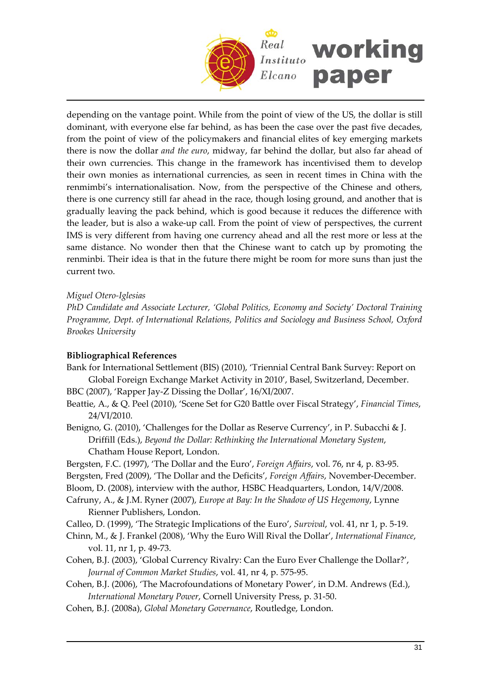

depending on the vantage point. While from the point of view of the US, the dollar is still dominant, with everyone else far behind, as has been the case over the past five decades, from the point of view of the policymakers and financial elites of key emerging markets there is now the dollar *and the euro*, midway, far behind the dollar, but also far ahead of their own currencies. This change in the framework has incentivised them to develop their own monies as international currencies, as seen in recent times in China with the renmimbi's internationalisation. Now, from the perspective of the Chinese and others, there is one currency still far ahead in the race, though losing ground, and another that is gradually leaving the pack behind, which is good because it reduces the difference with the leader, but is also a wake‐up call. From the point of view of perspectives, the current IMS is very different from having one currency ahead and all the rest more or less at the same distance. No wonder then that the Chinese want to catch up by promoting the renminbi. Their idea is that in the future there might be room for more suns than just the current two.

## *Miguel Otero‐Iglesias*

*PhD Candidate and Associate Lecturer, 'Global Politics, Economy and Society' Doctoral Training Programme, Dept. of International Relations, Politics and Sociology and Business School, Oxford Brookes University*

## **Bibliographical References**

- Bank for International Settlement (BIS) (2010), 'Triennial Central Bank Survey: Report on Global Foreign Exchange Market Activity in 2010', Basel, Switzerland, December.
- BBC (2007), 'Rapper Jay‐Z Dissing the Dollar', 16/XI/2007. Beattie, A., & Q. Peel (2010), 'Scene Set for G20 Battle over Fiscal Strategy', *Financial Times*,
	- 24/VI/2010.
- Benigno, G. (2010), 'Challenges for the Dollar as Reserve Currency', in P. Subacchi & J. Driffill (Eds.), *Beyond the Dollar: Rethinking the International Monetary System*, Chatham House Report, London.
- Bergsten, F.C. (1997), 'The Dollar and the Euro', *Foreign Affairs*, vol. 76, nr 4, p. 83‐95.
- Bergsten, Fred (2009), 'The Dollar and the Deficits', *Foreign Affairs*, November‐December.
- Bloom, D. (2008), interview with the author, HSBC Headquarters, London, 14/V/2008.
- Cafruny, A., & J.M. Ryner (2007), *Europe at Bay: In the Shadow of US Hegemony*, Lynne Rienner Publishers, London.
- Calleo, D. (1999), 'The Strategic Implications of the Euro', *Survival*, vol. 41, nr 1, p. 5‐19.
- Chinn, M., & J. Frankel (2008), 'Why the Euro Will Rival the Dollar', *International Finance*, vol. 11, nr 1, p. 49‐73.
- Cohen, B.J. (2003), 'Global Currency Rivalry: Can the Euro Ever Challenge the Dollar?', *Journal of Common Market Studies*, vol. 41, nr 4, p. 575‐95.
- Cohen, B.J. (2006), 'The Macrofoundations of Monetary Power', in D.M. Andrews (Ed.), *International Monetary Power*, Cornell University Press, p. 31‐50.
- Cohen, B.J. (2008a), *Global Monetary Governance*, Routledge, London.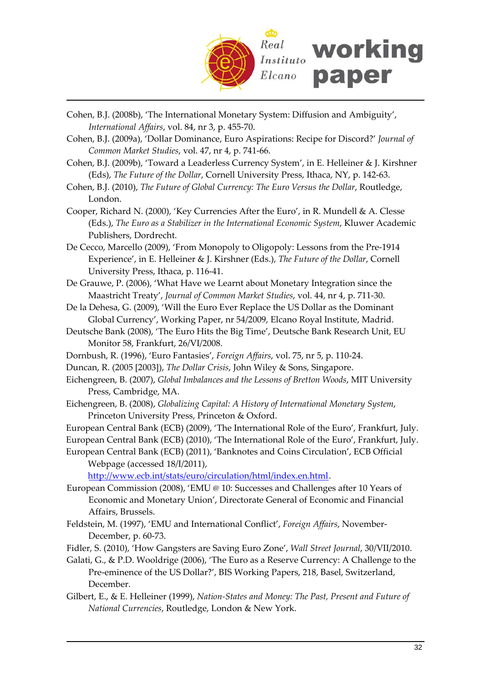

- Cohen, B.J. (2008b), 'The International Monetary System: Diffusion and Ambiguity', *International Affairs*, vol. 84, nr 3, p. 455‐70.
- Cohen, B.J. (2009a), 'Dollar Dominance, Euro Aspirations: Recipe for Discord?' *Journal of Common Market Studies*, vol. 47, nr 4, p. 741‐66.
- Cohen, B.J. (2009b), 'Toward a Leaderless Currency System', in E. Helleiner & J. Kirshner (Eds), *The Future of the Dollar*, Cornell University Press, Ithaca, NY, p. 142‐63.
- Cohen, B.J. (2010), *The Future of Global Currency: The Euro Versus the Dollar*, Routledge, London.
- Cooper, Richard N. (2000), 'Key Currencies After the Euro', in R. Mundell & A. Clesse (Eds.), *The Euro as a Stabilizer in the International Economic System*, Kluwer Academic Publishers, Dordrecht.
- De Cecco, Marcello (2009), 'From Monopoly to Oligopoly: Lessons from the Pre‐1914 Experience', in E. Helleiner & J. Kirshner (Eds.), *The Future of the Dollar*, Cornell University Press, Ithaca, p. 116‐41.
- De Grauwe, P. (2006), 'What Have we Learnt about Monetary Integration since the Maastricht Treaty', *Journal of Common Market Studies*, vol. 44, nr 4, p. 711‐30.
- De la Dehesa, G. (2009), 'Will the Euro Ever Replace the US Dollar as the Dominant Global Currency', Working Paper, nr 54/2009, Elcano Royal Institute, Madrid.
- Deutsche Bank (2008), 'The Euro Hits the Big Time', Deutsche Bank Research Unit, EU Monitor 58, Frankfurt, 26/VI/2008.
- Dornbush, R. (1996), 'Euro Fantasies', *Foreign Affairs*, vol. 75, nr 5, p. 110‐24.
- Duncan, R. (2005 [2003]), *The Dollar Crisis*, John Wiley & Sons, Singapore.
- Eichengreen, B. (2007), *Global Imbalances and the Lessons of Bretton Woods*, MIT University Press, Cambridge, MA.
- Eichengreen, B. (2008), *Globalizing Capital: A History of International Monetary System*, Princeton University Press, Princeton & Oxford.
- European Central Bank (ECB) (2009), 'The International Role of the Euro', Frankfurt, July.
- European Central Bank (ECB) (2010), 'The International Role of the Euro', Frankfurt, July.
- European Central Bank (ECB) (2011), 'Banknotes and Coins Circulation', ECB Official Webpage (accessed 18/I/2011),

[http://www.ecb.int/stats/euro/circulation/html/index.en.html.](http://www.ecb.int/stats/euro/circulation/html/index.en.html)

- European Commission (2008), 'EMU @ 10: Successes and Challenges after 10 Years of Economic and Monetary Union', Directorate General of Economic and Financial Affairs, Brussels.
- Feldstein, M. (1997), 'EMU and International Conflict', *Foreign Affairs*, November‐ December, p. 60‐73.
- Fidler, S. (2010), 'How Gangsters are Saving Euro Zone', *Wall Street Journal*, 30/VII/2010.
- Galati, G., & P.D. Wooldrige (2006), 'The Euro as a Reserve Currency: A Challenge to the Pre-eminence of the US Dollar?', BIS Working Papers, 218, Basel, Switzerland, December.
- Gilbert, E., & E. Helleiner (1999), *Nation‐States and Money: The Past, Present and Future of National Currencies*, Routledge, London & New York.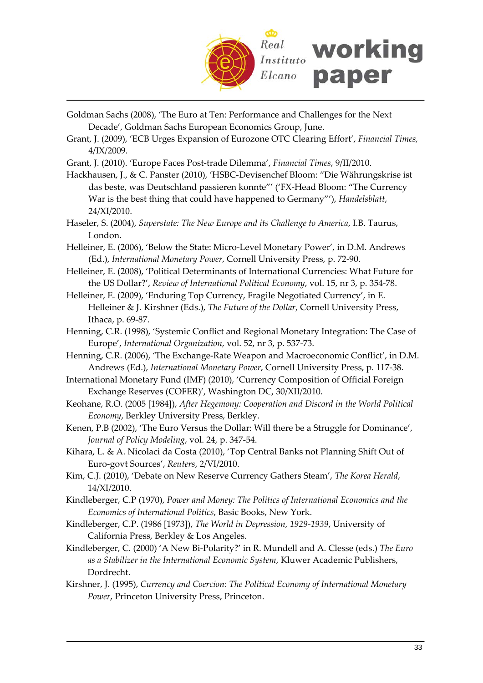

- Goldman Sachs (2008), 'The Euro at Ten: Performance and Challenges for the Next Decade', Goldman Sachs European Economics Group, June.
- Grant, J. (2009), 'ECB Urges Expansion of Eurozone OTC Clearing Effort', *Financial Times,* 4/IX/2009.
- Grant, J. (2010). 'Europe Faces Post‐trade Dilemma', *Financial Times*, 9/II/2010.
- Hackhausen, J., & C. Panster (2010), 'HSBC‐Devisenchef Bloom: "Die Währungskrise ist das beste, was Deutschland passieren konnte"' ('FX‐Head Bloom: "The Currency War is the best thing that could have happened to Germany"'), *Handelsblatt*, 24/XI/2010.
- Haseler, S. (2004), *Superstate: The New Europe and its Challenge to America*, I.B. Taurus, London.
- Helleiner, E. (2006), 'Below the State: Micro‐Level Monetary Power', in D.M. Andrews (Ed.), *International Monetary Power*, Cornell University Press, p. 72‐90.
- Helleiner, E. (2008), 'Political Determinants of International Currencies: What Future for the US Dollar?', *Review of International Political Economy*, vol. 15, nr 3, p. 354‐78.
- Helleiner, E. (2009), 'Enduring Top Currency, Fragile Negotiated Currency', in E. Helleiner & J. Kirshner (Eds.), *The Future of the Dollar*, Cornell University Press, Ithaca, p. 69‐87.
- Henning, C.R. (1998), 'Systemic Conflict and Regional Monetary Integration: The Case of Europe', *International Organization*, vol. 52, nr 3, p. 537‐73.
- Henning, C.R. (2006), 'The Exchange‐Rate Weapon and Macroeconomic Conflict', in D.M. Andrews (Ed.), *International Monetary Power*, Cornell University Press, p. 117‐38.
- International Monetary Fund (IMF) (2010), 'Currency Composition of Official Foreign Exchange Reserves (COFER)', Washington DC, 30/XII/2010.
- Keohane, R.O. (2005 [1984]), *After Hegemony: Cooperation and Discord in the World Political Economy*, Berkley University Press, Berkley.
- Kenen, P.B (2002), 'The Euro Versus the Dollar: Will there be a Struggle for Dominance', *Journal of Policy Modeling*, vol. 24, p. 347‐54.
- Kihara, L. & A. Nicolaci da Costa (2010), 'Top Central Banks not Planning Shift Out of Euro‐govt Sources', *Reuters*, 2/VI/2010.
- Kim, C.J. (2010), 'Debate on New Reserve Currency Gathers Steam', *The Korea Herald*, 14/XI/2010.
- Kindleberger, C.P (1970), *Power and Money: The Politics of International Economics and the Economics of International Politics*, Basic Books, New York.
- Kindleberger, C.P. (1986 [1973]), *The World in Depression, 1929‐1939*, University of California Press, Berkley & Los Angeles.
- Kindleberger, C. (2000) 'A New Bi‐Polarity?' in R. Mundell and A. Clesse (eds.) *The Euro as a Stabilizer in the International Economic System*, Kluwer Academic Publishers, Dordrecht.
- Kirshner, J. (1995), *Currency and Coercion: The Political Economy of International Monetary Power*, Princeton University Press, Princeton.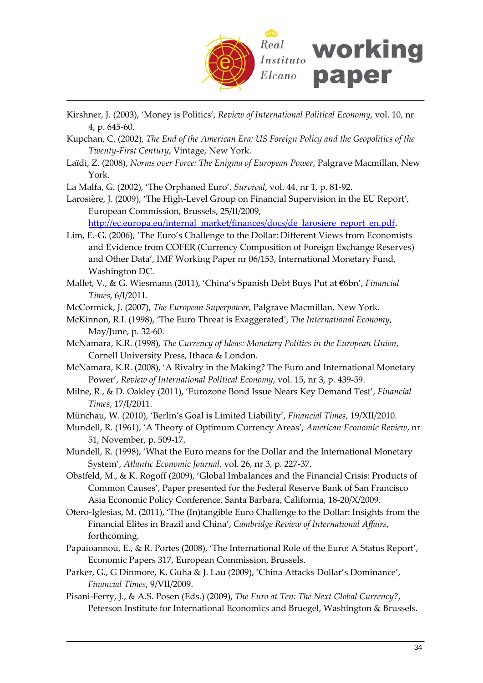

- Kirshner, J. (2003), 'Money is Politics', *Review of International Political Economy*, vol. 10, nr 4, p. 645‐60.
- Kupchan, C. (2002), *The End of the American Era: US Foreign Policy and the Geopolitics of the Twenty‐First Century*, Vintage, New York.
- Laïdi, Z. (2008), *Norms over Force: The Enigma of European Power*, Palgrave Macmillan, New York.
- La Malfa, G. (2002), 'The Orphaned Euro', *Survival*, vol. 44, nr 1, p. 81‐92.
- Larosière, J. (2009), 'The High‐Level Group on Financial Supervision in the EU Report', European Commission, Brussels, 25/II/2009, [http://ec.europa.eu/internal\\_market/finances/docs/de\\_larosiere\\_report\\_en.pdf](http://ec.europa.eu/internal_market/finances/docs/de_larosiere_report_en.pdf).
- Lim, E.‐G. (2006), 'The Euro's Challenge to the Dollar: Different Views from Economists and Evidence from COFER (Currency Composition of Foreign Exchange Reserves) and Other Data', IMF Working Paper nr 06/153, International Monetary Fund, Washington DC.
- Mallet, V., & G. Wiesmann (2011), 'China's Spanish Debt Buys Put at €6bn', *Financial Times*, 6/I/2011.
- McCormick, J. (2007), *The European Superpower*, Palgrave Macmillan, New York.
- McKinnon, R.I. (1998), 'The Euro Threat is Exaggerated', *The International Economy*, May/June, p. 32‐60.
- McNamara, K.R. (1998), *The Currency of Ideas: Monetary Politics in the European Union*, Cornell University Press, Ithaca & London.
- McNamara, K.R. (2008), 'A Rivalry in the Making? The Euro and International Monetary Power', *Review of International Political Economy*, vol. 15, nr 3, p. 439‐59.
- Milne, R., & D. Oakley (2011), 'Eurozone Bond Issue Nears Key Demand Test', *Financial Times*, 17/I/2011.
- Münchau, W. (2010), 'Berlin's Goal is Limited Liability', *Financial Times*, 19/XII/2010.
- Mundell, R. (1961), 'A Theory of Optimum Currency Areas', *American Economic Review*, nr 51, November, p. 509‐17.
- Mundell, R. (1998), 'What the Euro means for the Dollar and the International Monetary System', *Atlantic Economic Journal*, vol. 26, nr 3, p. 227‐37.
- Obstfeld, M., & K. Rogoff (2009), 'Global Imbalances and the Financial Crisis: Products of Common Causes', Paper presented for the Federal Reserve Bank of San Francisco Asia Economic Policy Conference, Santa Barbara, California, 18‐20/X/2009.
- Otero‐Iglesias, M. (2011), 'The (In)tangible Euro Challenge to the Dollar: Insights from the Financial Elites in Brazil and China', *Cambridge Review of International Affairs*, forthcoming.
- Papaioannou, E., & R. Portes (2008), 'The International Role of the Euro: A Status Report', Economic Papers 317, European Commission, Brussels.
- Parker, G., G Dinmore, K. Guha & J. Lau (2009), 'China Attacks Dollar's Dominance', *Financial Times*, 9/VII/2009.
- Pisani‐Ferry, J., & A.S. Posen (Eds.) (2009), *The Euro at Ten: The Next Global Currency?*, Peterson Institute for International Economics and Bruegel, Washington & Brussels.